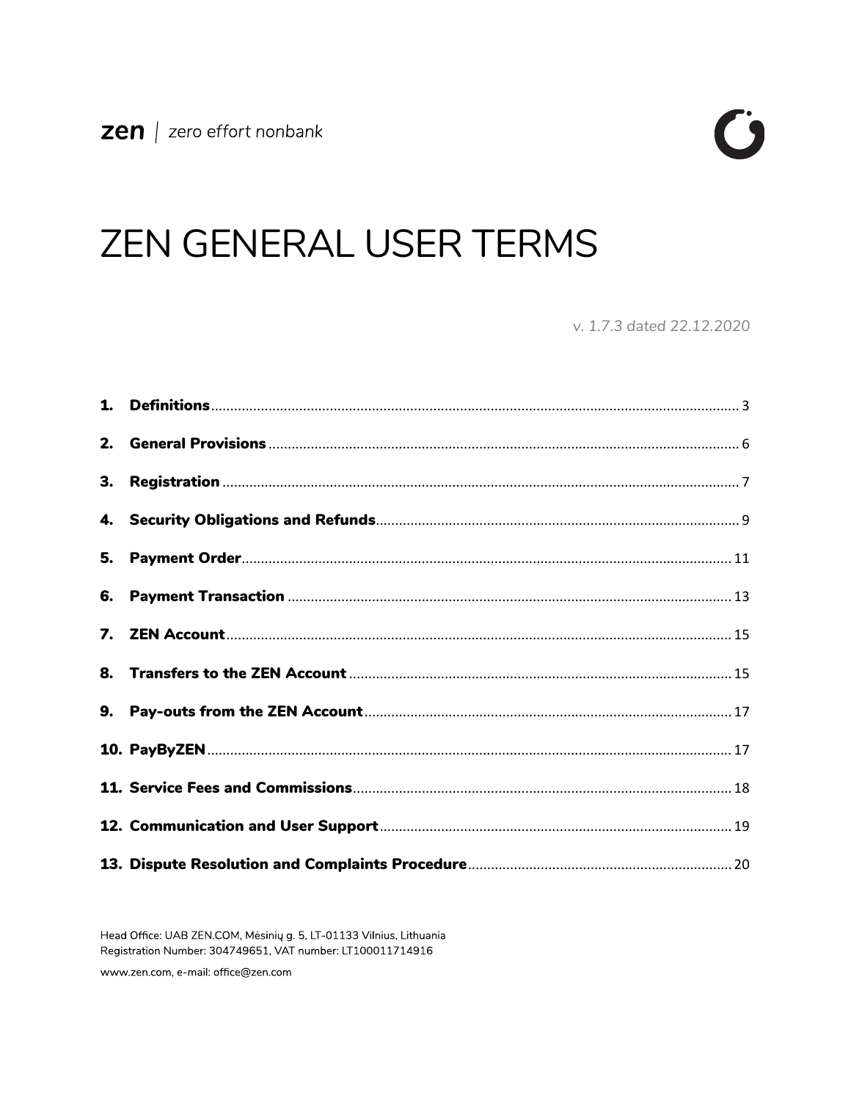

# **ZEN GENERAL USER TERMS**

v. 1.7.3 dated 22.12.2020

Head Office: UAB ZEN.COM, Mėsinių g. 5, LT-01133 Vilnius, Lithuania Registration Number: 304749651, VAT number: LT100011714916

www.zen.com, e-mail: office@zen.com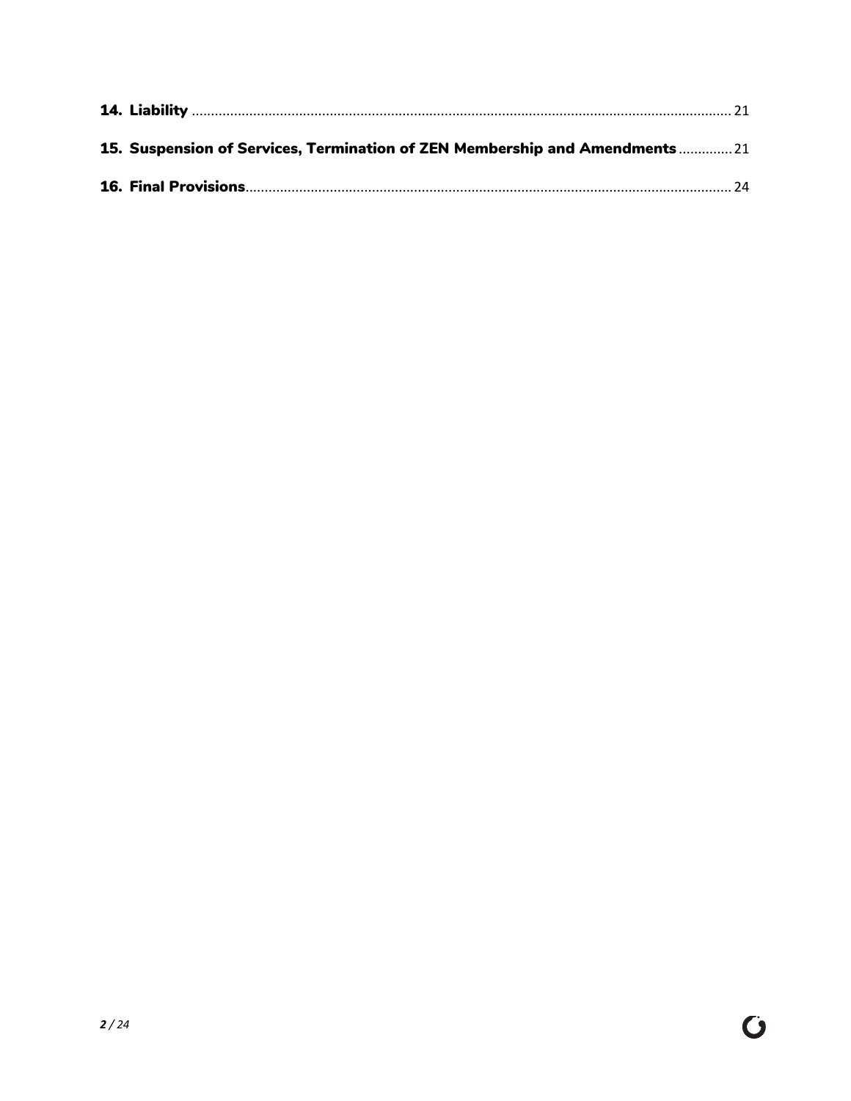| 15. Suspension of Services, Termination of ZEN Membership and Amendments  21 |  |
|------------------------------------------------------------------------------|--|
|                                                                              |  |

 $\ddot{\mathbf{C}}$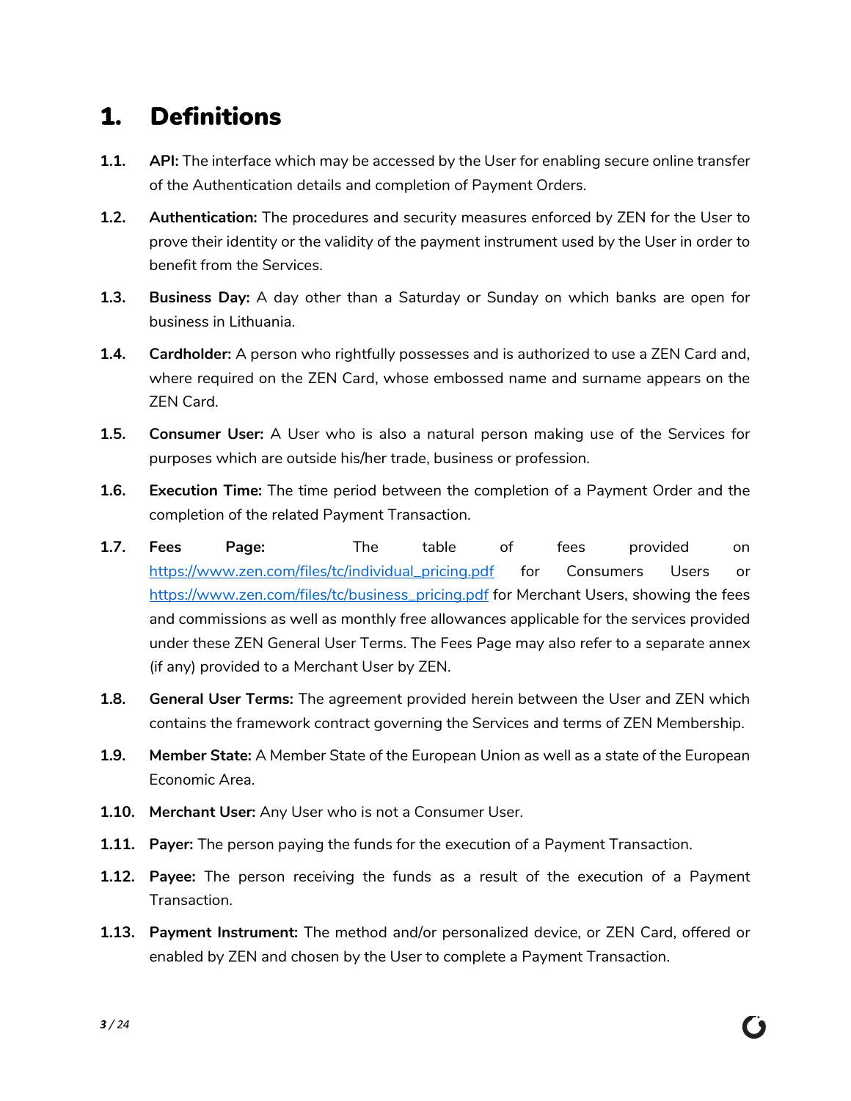## <span id="page-2-0"></span>1. Definitions

- **1.1. API:** The interface which may be accessed by the User for enabling secure online transfer of the Authentication details and completion of Payment Orders.
- **1.2. Authentication:** The procedures and security measures enforced by ZEN for the User to prove their identity or the validity of the payment instrument used by the User in order to benefit from the Services.
- **1.3. Business Day:** A day other than a Saturday or Sunday on which banks are open for business in Lithuania.
- **1.4. Cardholder:** A person who rightfully possesses and is authorized to use a ZEN Card and, where required on the ZEN Card, whose embossed name and surname appears on the ZEN Card.
- **1.5. Consumer User:** A User who is also a natural person making use of the Services for purposes which are outside his/her trade, business or profession.
- **1.6. Execution Time:** The time period between the completion of a Payment Order and the completion of the related Payment Transaction.
- **1.7. Fees Page:** The table of fees provided on [https://www.zen.com/files/tc/individual\\_pricing.pdf](https://www.zen.com/files/tc/individual_pricing.pdf) for Consumers Users or [https://www.zen.com/files/tc/business\\_pricing.pdf](https://www.zen.com/files/tc/business_pricing.pdf) for Merchant Users, showing the fees and commissions as well as monthly free allowances applicable for the services provided under these ZEN General User Terms. The Fees Page may also refer to a separate annex (if any) provided to a Merchant User by ZEN.
- **1.8. General User Terms:** The agreement provided herein between the User and ZEN which contains the framework contract governing the Services and terms of ZEN Membership.
- **1.9. Member State:** A Member State of the European Union as well as a state of the European Economic Area.
- **1.10. Merchant User:** Any User who is not a Consumer User.
- **1.11. Payer:** The person paying the funds for the execution of a Payment Transaction.
- **1.12. Payee:** The person receiving the funds as a result of the execution of a Payment Transaction.
- **1.13. Payment Instrument:** The method and/or personalized device, or ZEN Card, offered or enabled by ZEN and chosen by the User to complete a Payment Transaction.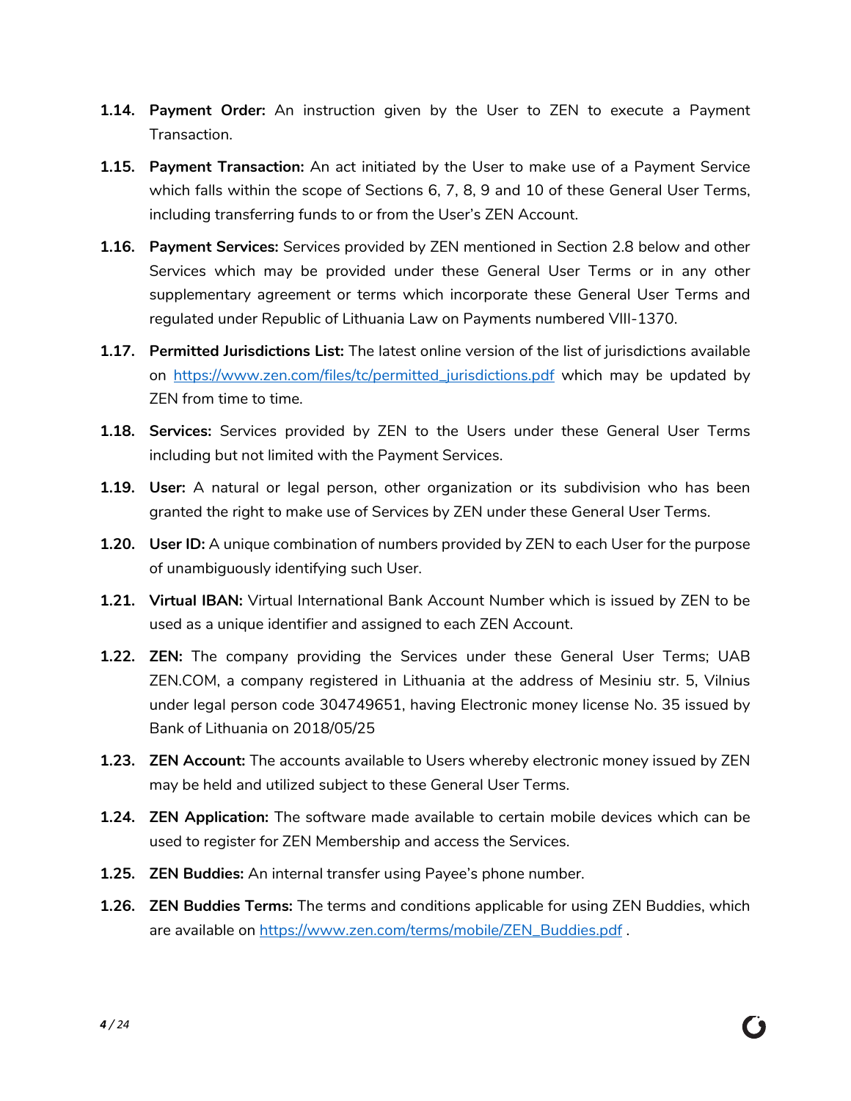- **1.14. Payment Order:** An instruction given by the User to ZEN to execute a Payment Transaction.
- **1.15. Payment Transaction:** An act initiated by the User to make use of a Payment Service which falls within the scope of Sections [6,](#page-12-0) [7,](#page-14-0) [8,](#page-14-1) [9](#page-16-0) and 10 of these General User Terms, including transferring funds to or from the User's ZEN Account.
- **1.16. Payment Services:** Services provided by ZEN mentioned in Section [2.8](#page-5-1) below and other Services which may be provided under these General User Terms or in any other supplementary agreement or terms which incorporate these General User Terms and regulated under Republic of Lithuania Law on Payments numbered VIII-1370.
- **1.17. Permitted Jurisdictions List:** The latest online version of the list of jurisdictions available on [https://www.zen.com/files/tc/permitted\\_jurisdictions.pdf](https://www.zen.com/files/tc/permitted_jurisdictions.pdf) which may be updated by ZEN from time to time.
- **1.18. Services:** Services provided by ZEN to the Users under these General User Terms including but not limited with the Payment Services.
- **1.19. User:** A natural or legal person, other organization or its subdivision who has been granted the right to make use of Services by ZEN under these General User Terms.
- **1.20. User ID:** A unique combination of numbers provided by ZEN to each User for the purpose of unambiguously identifying such User.
- **1.21. Virtual IBAN:** Virtual International Bank Account Number which is issued by ZEN to be used as a unique identifier and assigned to each ZEN Account.
- **1.22. ZEN:** The company providing the Services under these General User Terms; UAB ZEN.COM, a company registered in Lithuania at the address of Mesiniu str. 5, Vilnius under legal person code 304749651, having Electronic money license No. 35 issued by Bank of Lithuania on 2018/05/25
- **1.23. ZEN Account:** The accounts available to Users whereby electronic money issued by ZEN may be held and utilized subject to these General User Terms.
- **1.24. ZEN Application:** The software made available to certain mobile devices which can be used to register for ZEN Membership and access the Services.
- **1.25. ZEN Buddies:** An internal transfer using Payee's phone number.
- **1.26. ZEN Buddies Terms:** The terms and conditions applicable for using ZEN Buddies, which are available on [https://www.zen.com/terms/mobile/ZEN\\_Buddies.pdf](https://www.zen.com/terms/mobile/ZEN_Buddies.pdf) .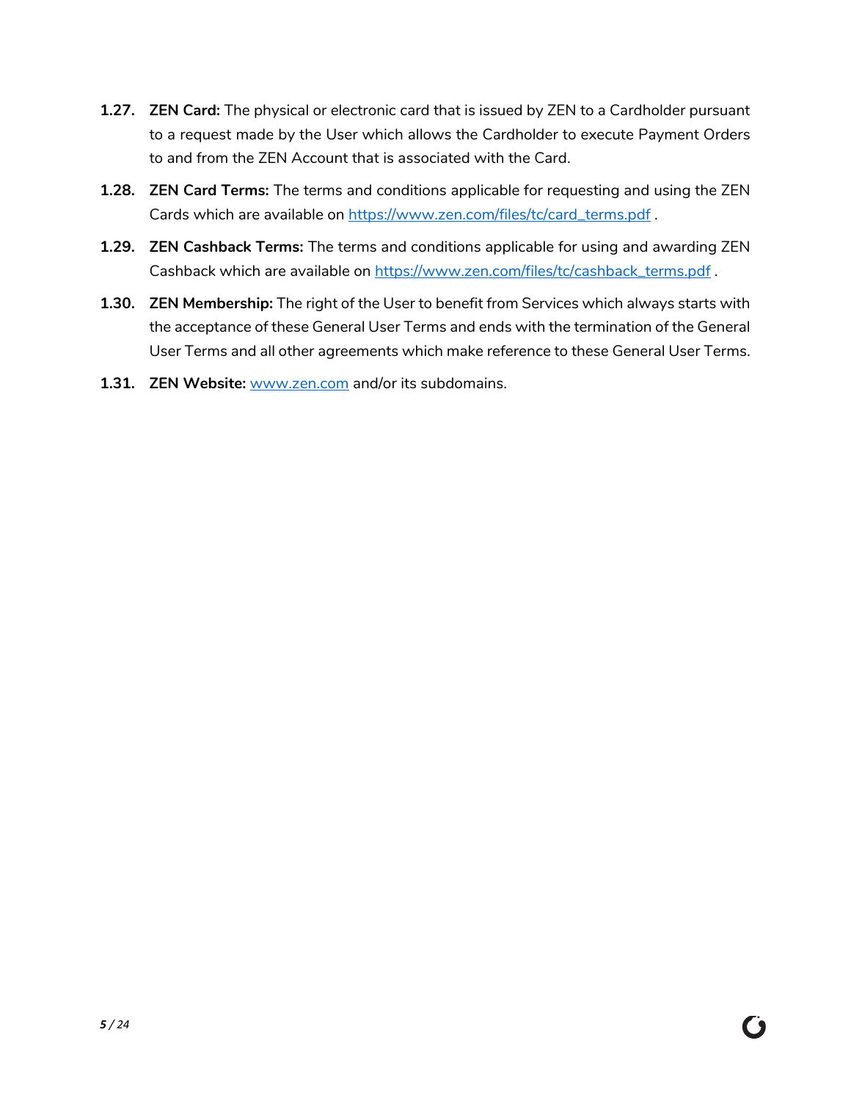- **1.27. ZEN Card:** The physical or electronic card that is issued by ZEN to a Cardholder pursuant to a request made by the User which allows the Cardholder to execute Payment Orders to and from the ZEN Account that is associated with the Card.
- **1.28. ZEN Card Terms:** The terms and conditions applicable for requesting and using the ZEN Cards which are available on [https://www.zen.com/files/tc/card\\_terms.pdf](https://www.zen.com/files/tc/card_terms.pdf) .
- **1.29. ZEN Cashback Terms:** The terms and conditions applicable for using and awarding ZEN Cashback which are available on [https://www.zen.com/files/tc/cashback\\_terms.pdf](https://www.zen.com/files/tc/cashback_terms.pdf) .
- **1.30. ZEN Membership:** The right of the User to benefit from Services which always starts with the acceptance of these General User Terms and ends with the termination of the General User Terms and all other agreements which make reference to these General User Terms.

( )

**1.31. ZEN Website:** [www.zen.com](http://www.zen.com/) and/or its subdomains.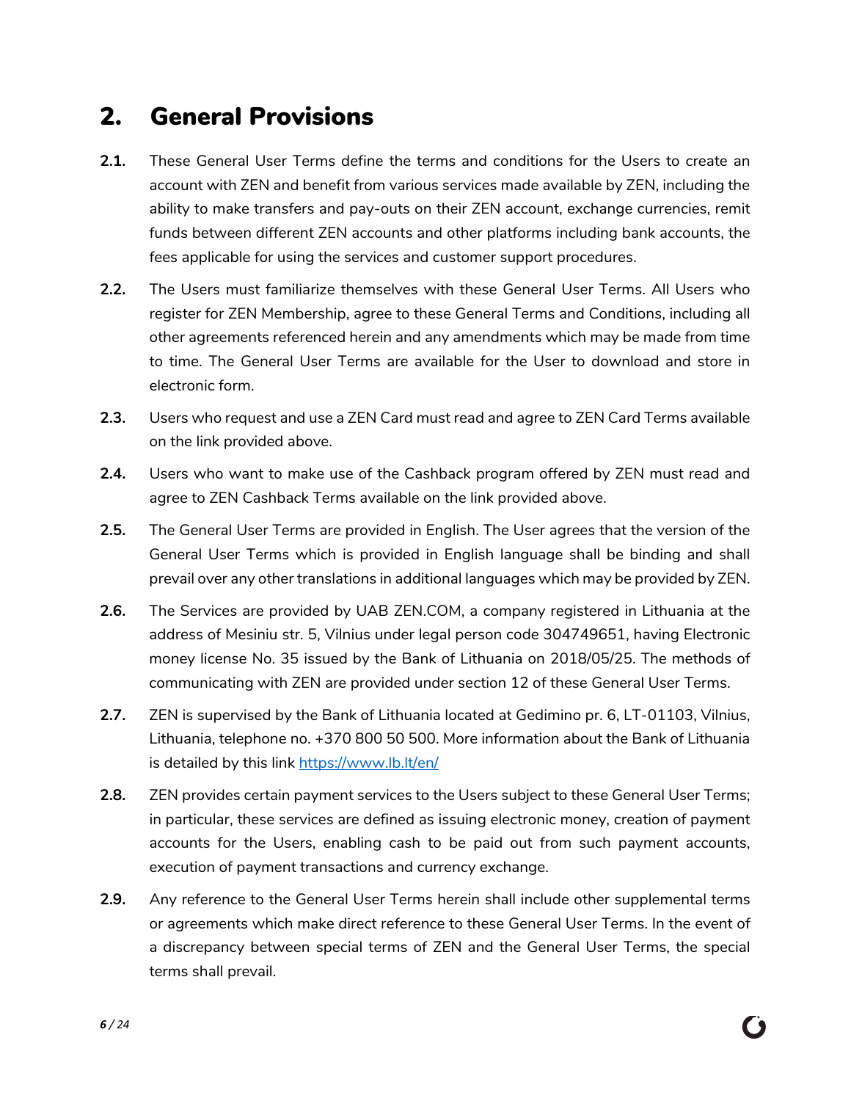#### <span id="page-5-0"></span>2. General Provisions

- **2.1.** These General User Terms define the terms and conditions for the Users to create an account with ZEN and benefit from various services made available by ZEN, including the ability to make transfers and pay-outs on their ZEN account, exchange currencies, remit funds between different ZEN accounts and other platforms including bank accounts, the fees applicable for using the services and customer support procedures.
- **2.2.** The Users must familiarize themselves with these General User Terms. All Users who register for ZEN Membership, agree to these General Terms and Conditions, including all other agreements referenced herein and any amendments which may be made from time to time. The General User Terms are available for the User to download and store in electronic form.
- **2.3.** Users who request and use a ZEN Card must read and agree to ZEN Card Terms available on the link provided above.
- **2.4.** Users who want to make use of the Cashback program offered by ZEN must read and agree to ZEN Cashback Terms available on the link provided above.
- **2.5.** The General User Terms are provided in English. The User agrees that the version of the General User Terms which is provided in English language shall be binding and shall prevail over any other translations in additional languages which may be provided by ZEN.
- **2.6.** The Services are provided by UAB ZEN.COM, a company registered in Lithuania at the address of Mesiniu str. 5, Vilnius under legal person code 304749651, having Electronic money license No. 35 issued by the Bank of Lithuania on 2018/05/25. The methods of communicating with ZEN are provided under section 12 of these General User Terms.
- **2.7.** ZEN is supervised by the Bank of Lithuania located at Gedimino pr. 6, LT-01103, Vilnius, Lithuania, telephone no. +370 800 50 500. More information about the Bank of Lithuania is detailed by this link<https://www.lb.lt/en/>
- <span id="page-5-1"></span>**2.8.** ZEN provides certain payment services to the Users subject to these General User Terms; in particular, these services are defined as issuing electronic money, creation of payment accounts for the Users, enabling cash to be paid out from such payment accounts, execution of payment transactions and currency exchange.
- **2.9.** Any reference to the General User Terms herein shall include other supplemental terms or agreements which make direct reference to these General User Terms. In the event of a discrepancy between special terms of ZEN and the General User Terms, the special terms shall prevail.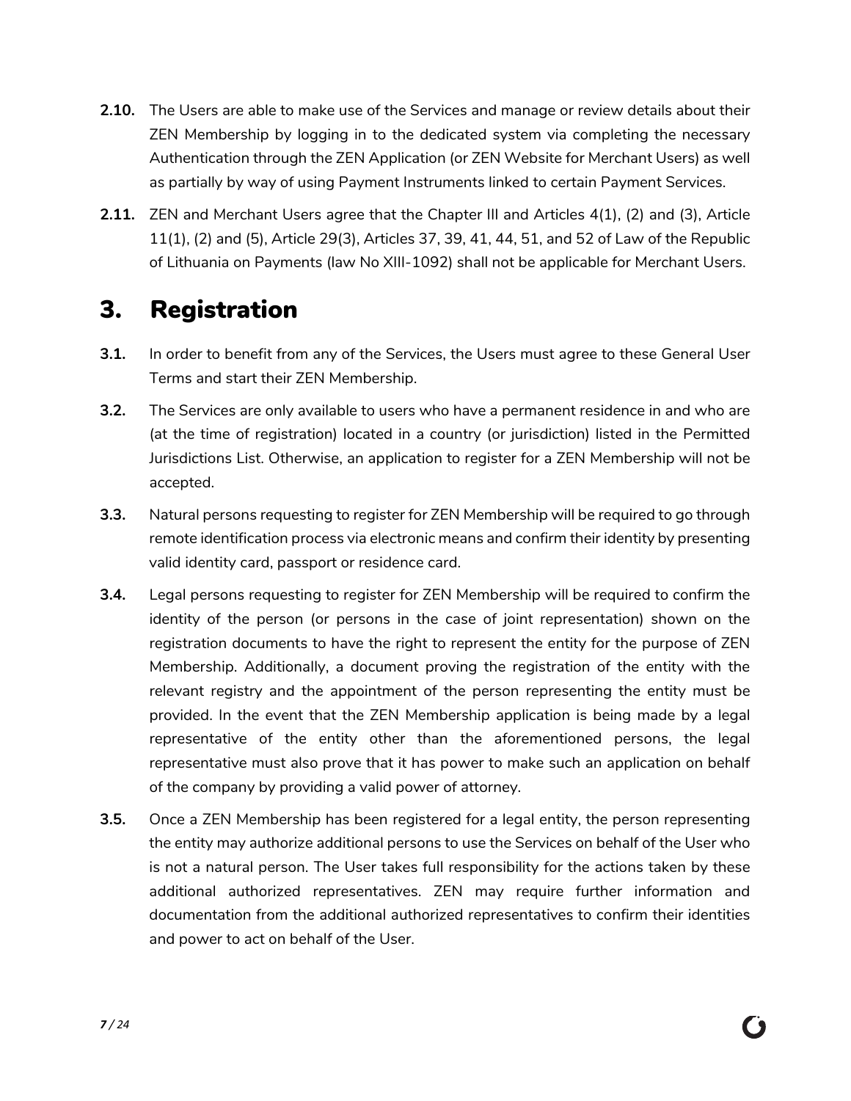- **2.10.** The Users are able to make use of the Services and manage or review details about their ZEN Membership by logging in to the dedicated system via completing the necessary Authentication through the ZEN Application (or ZEN Website for Merchant Users) as well as partially by way of using Payment Instruments linked to certain Payment Services.
- **2.11.** ZEN and Merchant Users agree that the Chapter III and Articles 4(1), (2) and (3), Article 11(1), (2) and (5), Article 29(3), Articles 37, 39, 41, 44, 51, and 52 of Law of the Republic of Lithuania on Payments (law No XIII-1092) shall not be applicable for Merchant Users.

## <span id="page-6-0"></span>3. Registration

- **3.1.** In order to benefit from any of the Services, the Users must agree to these General User Terms and start their ZEN Membership.
- **3.2.** The Services are only available to users who have a permanent residence in and who are (at the time of registration) located in a country (or jurisdiction) listed in the Permitted Jurisdictions List. Otherwise, an application to register for a ZEN Membership will not be accepted.
- **3.3.** Natural persons requesting to register for ZEN Membership will be required to go through remote identification process via electronic means and confirm their identity by presenting valid identity card, passport or residence card.
- **3.4.** Legal persons requesting to register for ZEN Membership will be required to confirm the identity of the person (or persons in the case of joint representation) shown on the registration documents to have the right to represent the entity for the purpose of ZEN Membership. Additionally, a document proving the registration of the entity with the relevant registry and the appointment of the person representing the entity must be provided. In the event that the ZEN Membership application is being made by a legal representative of the entity other than the aforementioned persons, the legal representative must also prove that it has power to make such an application on behalf of the company by providing a valid power of attorney.
- **3.5.** Once a ZEN Membership has been registered for a legal entity, the person representing the entity may authorize additional persons to use the Services on behalf of the User who is not a natural person. The User takes full responsibility for the actions taken by these additional authorized representatives. ZEN may require further information and documentation from the additional authorized representatives to confirm their identities and power to act on behalf of the User.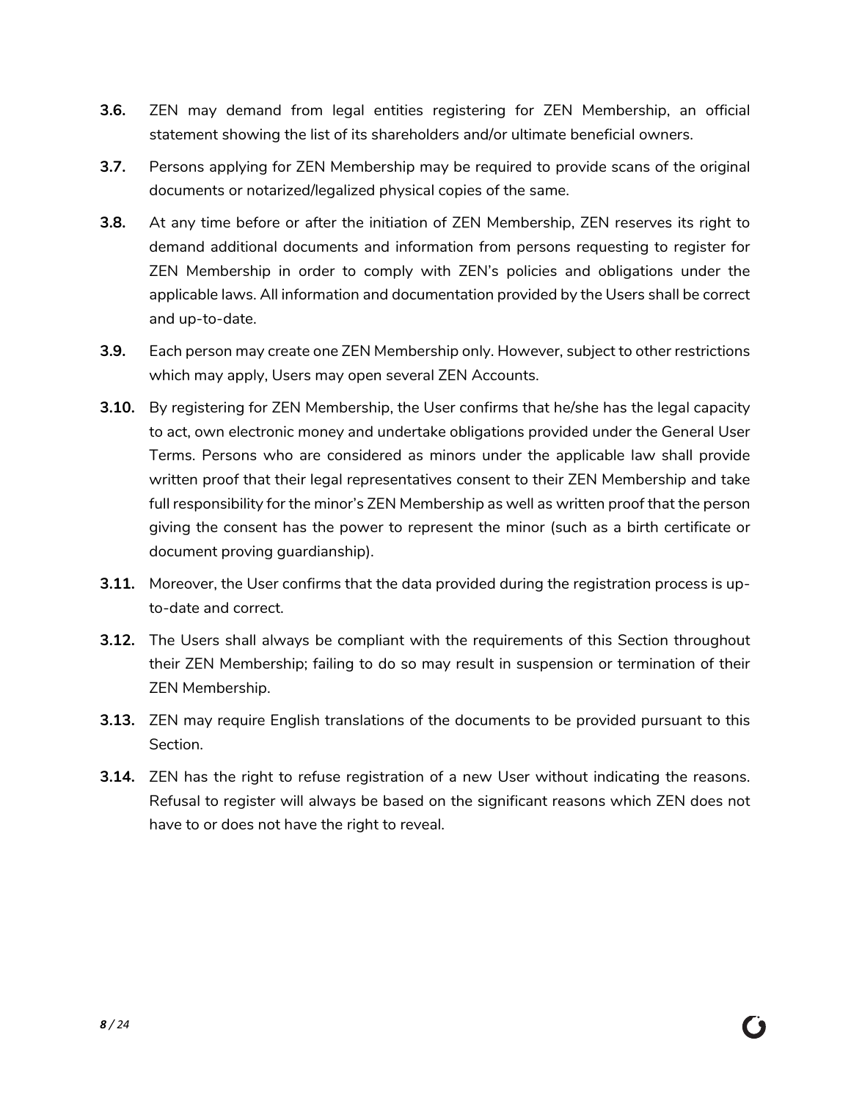- **3.6.** ZEN may demand from legal entities registering for ZEN Membership, an official statement showing the list of its shareholders and/or ultimate beneficial owners.
- **3.7.** Persons applying for ZEN Membership may be required to provide scans of the original documents or notarized/legalized physical copies of the same.
- **3.8.** At any time before or after the initiation of ZEN Membership, ZEN reserves its right to demand additional documents and information from persons requesting to register for ZEN Membership in order to comply with ZEN's policies and obligations under the applicable laws. All information and documentation provided by the Users shall be correct and up-to-date.
- **3.9.** Each person may create one ZEN Membership only. However, subject to other restrictions which may apply, Users may open several ZEN Accounts.
- **3.10.** By registering for ZEN Membership, the User confirms that he/she has the legal capacity to act, own electronic money and undertake obligations provided under the General User Terms. Persons who are considered as minors under the applicable law shall provide written proof that their legal representatives consent to their ZEN Membership and take full responsibility for the minor's ZEN Membership as well as written proof that the person giving the consent has the power to represent the minor (such as a birth certificate or document proving guardianship).
- **3.11.** Moreover, the User confirms that the data provided during the registration process is upto-date and correct.
- **3.12.** The Users shall always be compliant with the requirements of this Section throughout their ZEN Membership; failing to do so may result in suspension or termination of their ZEN Membership.
- **3.13.** ZEN may require English translations of the documents to be provided pursuant to this Section.
- **3.14.** ZEN has the right to refuse registration of a new User without indicating the reasons. Refusal to register will always be based on the significant reasons which ZEN does not have to or does not have the right to reveal.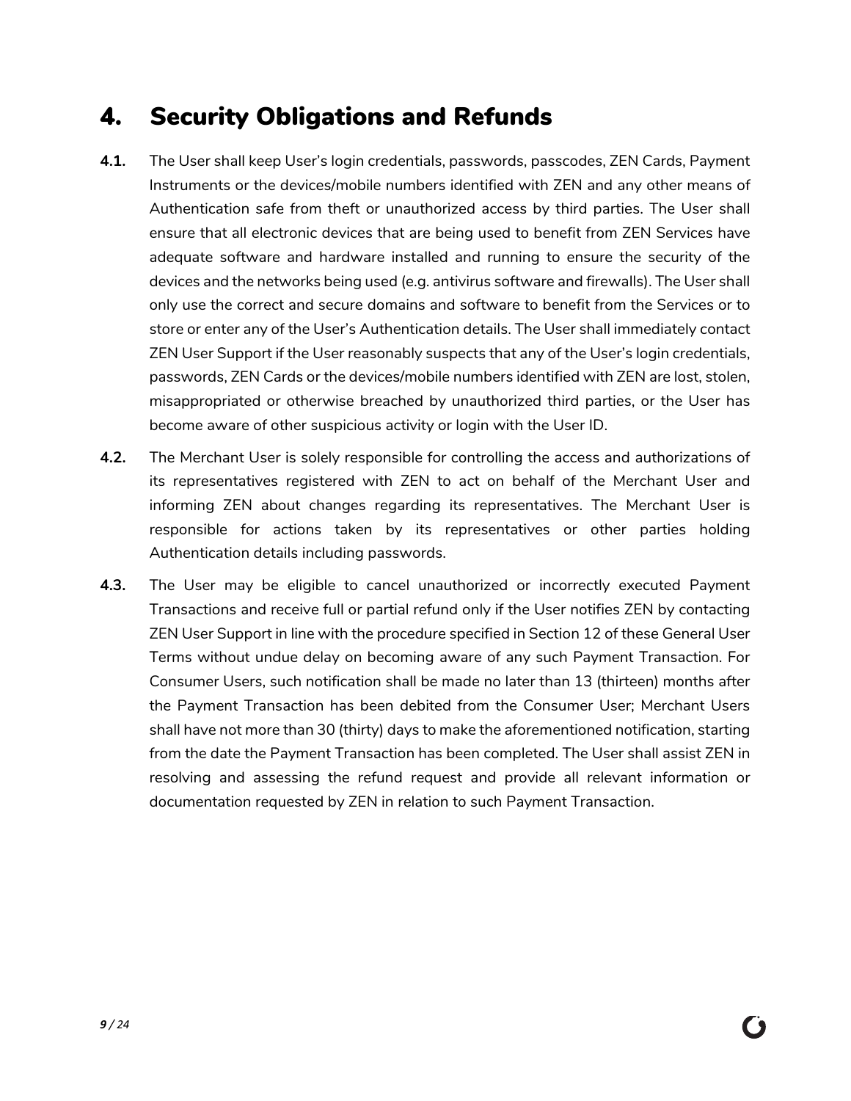#### <span id="page-8-0"></span>4. Security Obligations and Refunds

- <span id="page-8-2"></span>**4.1.** The User shall keep User's login credentials, passwords, passcodes, ZEN Cards, Payment Instruments or the devices/mobile numbers identified with ZEN and any other means of Authentication safe from theft or unauthorized access by third parties. The User shall ensure that all electronic devices that are being used to benefit from ZEN Services have adequate software and hardware installed and running to ensure the security of the devices and the networks being used (e.g. antivirus software and firewalls). The User shall only use the correct and secure domains and software to benefit from the Services or to store or enter any of the User's Authentication details. The User shall immediately contact ZEN User Support if the User reasonably suspects that any of the User's login credentials, passwords, ZEN Cards or the devices/mobile numbers identified with ZEN are lost, stolen, misappropriated or otherwise breached by unauthorized third parties, or the User has become aware of other suspicious activity or login with the User ID.
- **4.2.** The Merchant User is solely responsible for controlling the access and authorizations of its representatives registered with ZEN to act on behalf of the Merchant User and informing ZEN about changes regarding its representatives. The Merchant User is responsible for actions taken by its representatives or other parties holding Authentication details including passwords.
- <span id="page-8-1"></span>**4.3.** The User may be eligible to cancel unauthorized or incorrectly executed Payment Transactions and receive full or partial refund only if the User notifies ZEN by contacting ZEN User Support in line with the procedure specified in Section 12 of these General User Terms without undue delay on becoming aware of any such Payment Transaction. For Consumer Users, such notification shall be made no later than 13 (thirteen) months after the Payment Transaction has been debited from the Consumer User; Merchant Users shall have not more than 30 (thirty) days to make the aforementioned notification, starting from the date the Payment Transaction has been completed. The User shall assist ZEN in resolving and assessing the refund request and provide all relevant information or documentation requested by ZEN in relation to such Payment Transaction.

C)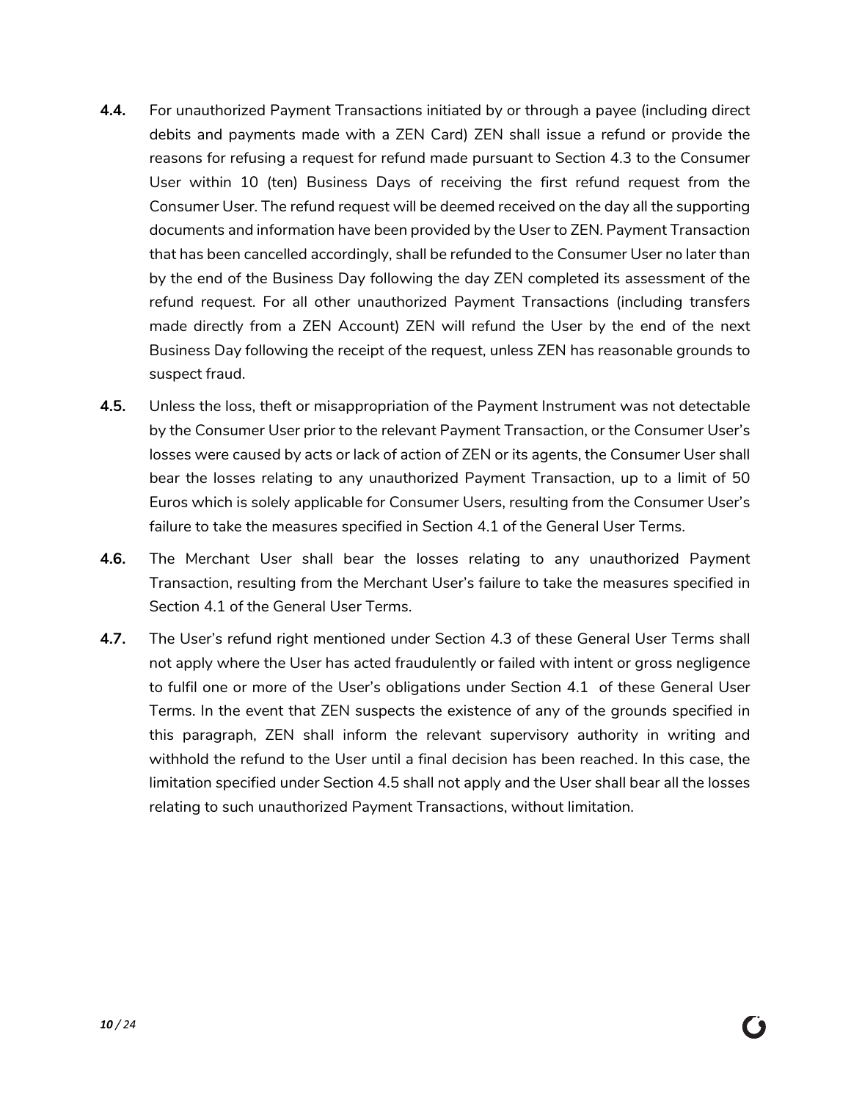- **4.4.** For unauthorized Payment Transactions initiated by or through a payee (including direct debits and payments made with a ZEN Card) ZEN shall issue a refund or provide the reasons for refusing a request for refund made pursuant to Section [4.3](#page-8-1) to the Consumer User within 10 (ten) Business Days of receiving the first refund request from the Consumer User. The refund request will be deemed received on the day all the supporting documents and information have been provided by the User to ZEN. Payment Transaction that has been cancelled accordingly, shall be refunded to the Consumer User no later than by the end of the Business Day following the day ZEN completed its assessment of the refund request. For all other unauthorized Payment Transactions (including transfers made directly from a ZEN Account) ZEN will refund the User by the end of the next Business Day following the receipt of the request, unless ZEN has reasonable grounds to suspect fraud.
- <span id="page-9-1"></span><span id="page-9-0"></span>**4.5.** Unless the loss, theft or misappropriation of the Payment Instrument was not detectable by the Consumer User prior to the relevant Payment Transaction, or the Consumer User's losses were caused by acts or lack of action of ZEN or its agents, the Consumer User shall bear the losses relating to any unauthorized Payment Transaction, up to a limit of 50 Euros which is solely applicable for Consumer Users, resulting from the Consumer User's failure to take the measures specified in Section [4.1](#page-8-2) of the General User Terms.
- **4.6.** The Merchant User shall bear the losses relating to any unauthorized Payment Transaction, resulting from the Merchant User's failure to take the measures specified in Section [4.1](#page-8-2) of the General User Terms.
- **4.7.** The User's refund right mentioned under Section [4.3](#page-8-1) of these General User Terms shall not apply where the User has acted fraudulently or failed with intent or gross negligence to fulfil one or more of the User's obligations under Section [4.1](#page-8-2) of these General User Terms. In the event that ZEN suspects the existence of any of the grounds specified in this paragraph, ZEN shall inform the relevant supervisory authority in writing and withhold the refund to the User until a final decision has been reached. In this case, the limitation specified under Sectio[n 4.5](#page-9-0) shall not apply and the User shall bear all the losses relating to such unauthorized Payment Transactions, without limitation.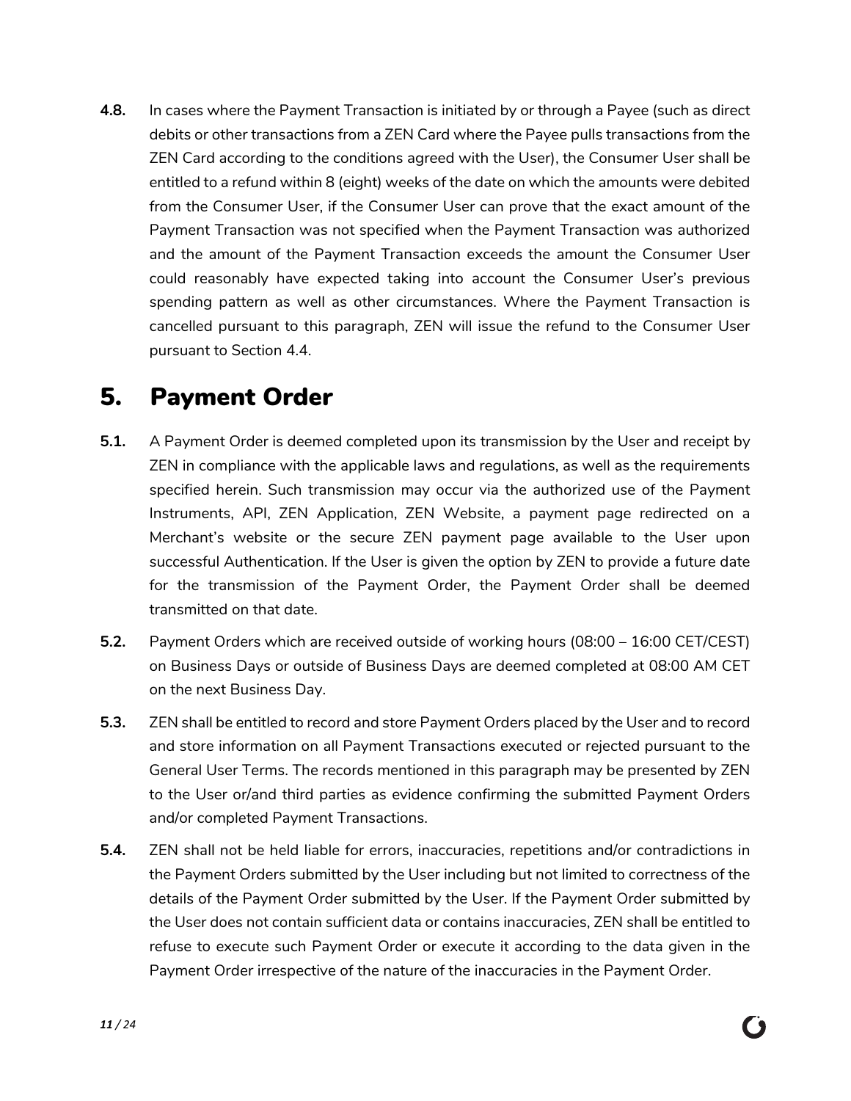**4.8.** In cases where the Payment Transaction is initiated by or through a Payee (such as direct debits or other transactions from a ZEN Card where the Payee pulls transactions from the ZEN Card according to the conditions agreed with the User), the Consumer User shall be entitled to a refund within 8 (eight) weeks of the date on which the amounts were debited from the Consumer User, if the Consumer User can prove that the exact amount of the Payment Transaction was not specified when the Payment Transaction was authorized and the amount of the Payment Transaction exceeds the amount the Consumer User could reasonably have expected taking into account the Consumer User's previous spending pattern as well as other circumstances. Where the Payment Transaction is cancelled pursuant to this paragraph, ZEN will issue the refund to the Consumer User pursuant to Section [4.4.](#page-9-1)

#### <span id="page-10-0"></span>5. Payment Order

- **5.1.** A Payment Order is deemed completed upon its transmission by the User and receipt by ZEN in compliance with the applicable laws and regulations, as well as the requirements specified herein. Such transmission may occur via the authorized use of the Payment Instruments, API, ZEN Application, ZEN Website, a payment page redirected on a Merchant's website or the secure ZEN payment page available to the User upon successful Authentication. If the User is given the option by ZEN to provide a future date for the transmission of the Payment Order, the Payment Order shall be deemed transmitted on that date.
- **5.2.** Payment Orders which are received outside of working hours (08:00 16:00 CET/CEST) on Business Days or outside of Business Days are deemed completed at 08:00 AM CET on the next Business Day.
- **5.3.** ZEN shall be entitled to record and store Payment Orders placed by the User and to record and store information on all Payment Transactions executed or rejected pursuant to the General User Terms. The records mentioned in this paragraph may be presented by ZEN to the User or/and third parties as evidence confirming the submitted Payment Orders and/or completed Payment Transactions.
- **5.4.** ZEN shall not be held liable for errors, inaccuracies, repetitions and/or contradictions in the Payment Orders submitted by the User including but not limited to correctness of the details of the Payment Order submitted by the User. If the Payment Order submitted by the User does not contain sufficient data or contains inaccuracies, ZEN shall be entitled to refuse to execute such Payment Order or execute it according to the data given in the Payment Order irrespective of the nature of the inaccuracies in the Payment Order.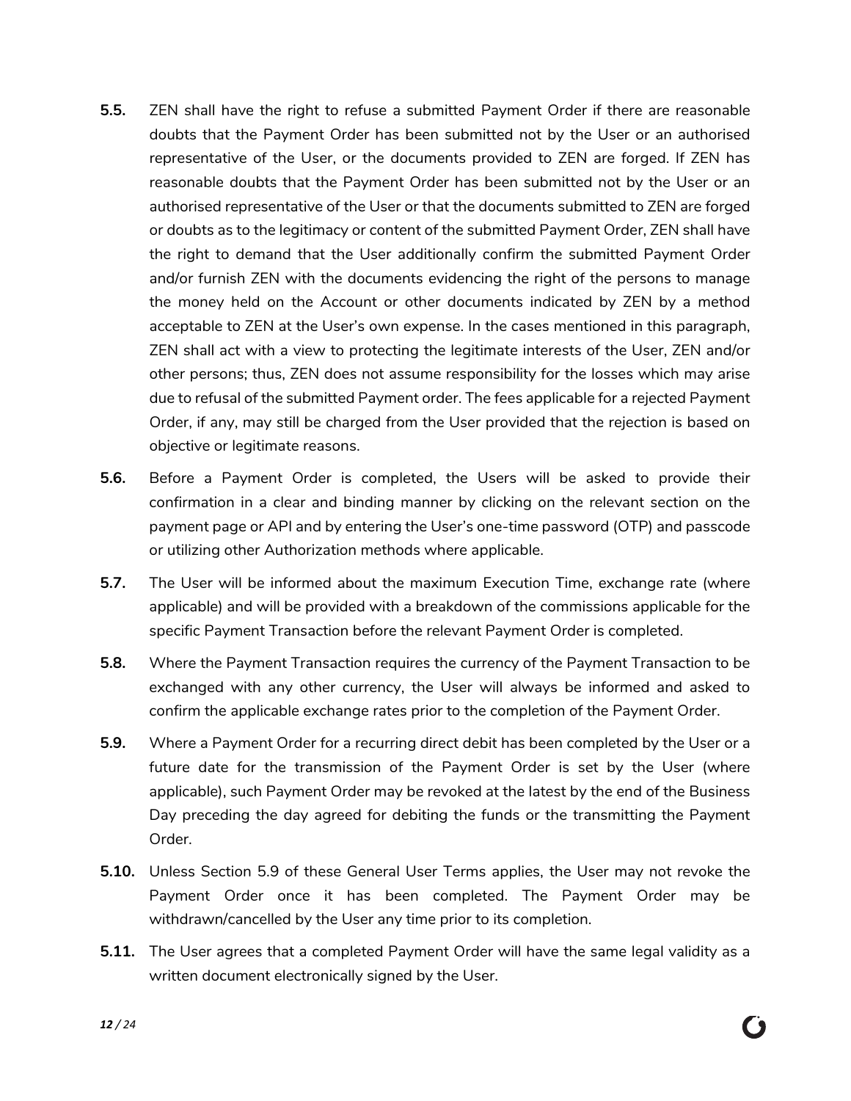- **5.5.** ZEN shall have the right to refuse a submitted Payment Order if there are reasonable doubts that the Payment Order has been submitted not by the User or an authorised representative of the User, or the documents provided to ZEN are forged. If ZEN has reasonable doubts that the Payment Order has been submitted not by the User or an authorised representative of the User or that the documents submitted to ZEN are forged or doubts as to the legitimacy or content of the submitted Payment Order, ZEN shall have the right to demand that the User additionally confirm the submitted Payment Order and/or furnish ZEN with the documents evidencing the right of the persons to manage the money held on the Account or other documents indicated by ZEN by a method acceptable to ZEN at the User's own expense. In the cases mentioned in this paragraph, ZEN shall act with a view to protecting the legitimate interests of the User, ZEN and/or other persons; thus, ZEN does not assume responsibility for the losses which may arise due to refusal of the submitted Payment order. The fees applicable for a rejected Payment Order, if any, may still be charged from the User provided that the rejection is based on objective or legitimate reasons.
- **5.6.** Before a Payment Order is completed, the Users will be asked to provide their confirmation in a clear and binding manner by clicking on the relevant section on the payment page or API and by entering the User's one-time password (OTP) and passcode or utilizing other Authorization methods where applicable.
- <span id="page-11-1"></span>**5.7.** The User will be informed about the maximum Execution Time, exchange rate (where applicable) and will be provided with a breakdown of the commissions applicable for the specific Payment Transaction before the relevant Payment Order is completed.
- **5.8.** Where the Payment Transaction requires the currency of the Payment Transaction to be exchanged with any other currency, the User will always be informed and asked to confirm the applicable exchange rates prior to the completion of the Payment Order.
- <span id="page-11-0"></span>**5.9.** Where a Payment Order for a recurring direct debit has been completed by the User or a future date for the transmission of the Payment Order is set by the User (where applicable), such Payment Order may be revoked at the latest by the end of the Business Day preceding the day agreed for debiting the funds or the transmitting the Payment Order.
- **5.10.** Unless Section [5.9](#page-11-0) of these General User Terms applies, the User may not revoke the Payment Order once it has been completed. The Payment Order may be withdrawn/cancelled by the User any time prior to its completion.
- **5.11.** The User agrees that a completed Payment Order will have the same legal validity as a written document electronically signed by the User.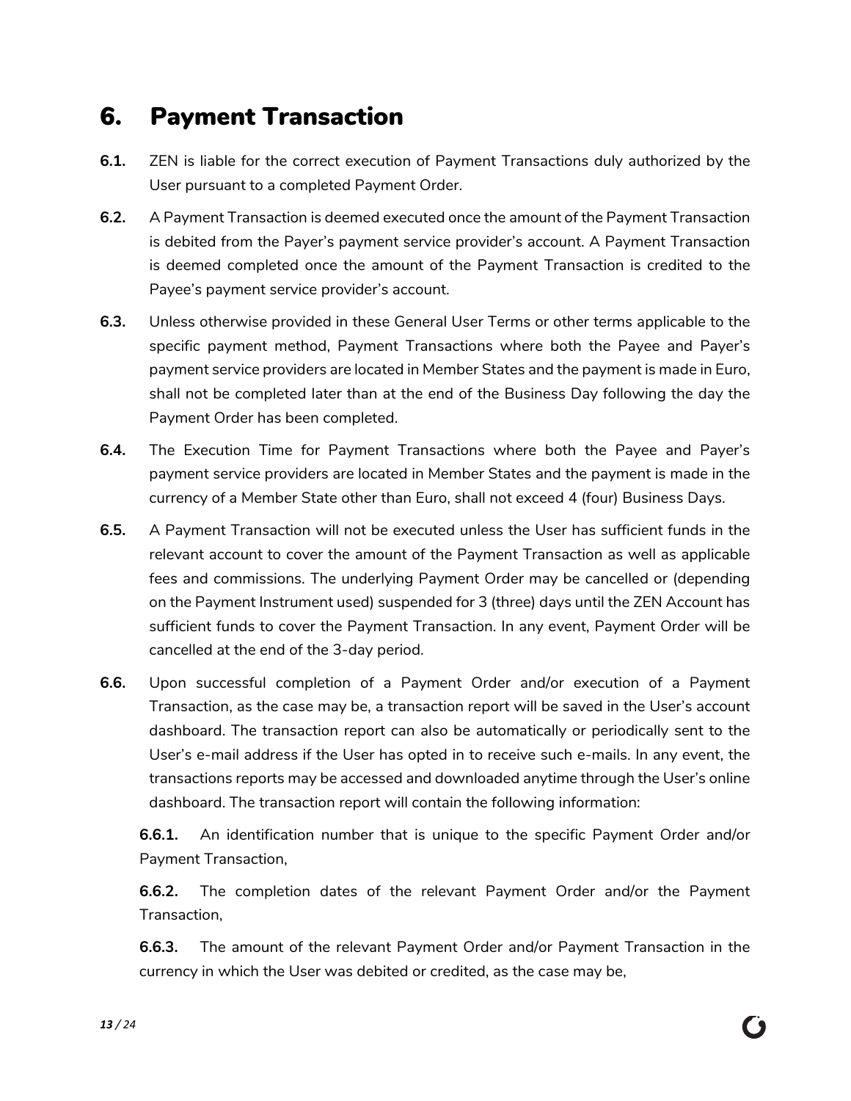#### <span id="page-12-0"></span>6. Payment Transaction

- **6.1.** ZEN is liable for the correct execution of Payment Transactions duly authorized by the User pursuant to a completed Payment Order.
- **6.2.** A Payment Transaction is deemed executed once the amount of the Payment Transaction is debited from the Payer's payment service provider's account. A Payment Transaction is deemed completed once the amount of the Payment Transaction is credited to the Payee's payment service provider's account.
- **6.3.** Unless otherwise provided in these General User Terms or other terms applicable to the specific payment method, Payment Transactions where both the Payee and Payer's payment service providers are located in Member States and the payment is made in Euro, shall not be completed later than at the end of the Business Day following the day the Payment Order has been completed.
- **6.4.** The Execution Time for Payment Transactions where both the Payee and Payer's payment service providers are located in Member States and the payment is made in the currency of a Member State other than Euro, shall not exceed 4 (four) Business Days.
- **6.5.** A Payment Transaction will not be executed unless the User has sufficient funds in the relevant account to cover the amount of the Payment Transaction as well as applicable fees and commissions. The underlying Payment Order may be cancelled or (depending on the Payment Instrument used) suspended for 3 (three) days until the ZEN Account has sufficient funds to cover the Payment Transaction. In any event, Payment Order will be cancelled at the end of the 3-day period.
- <span id="page-12-1"></span>**6.6.** Upon successful completion of a Payment Order and/or execution of a Payment Transaction, as the case may be, a transaction report will be saved in the User's account dashboard. The transaction report can also be automatically or periodically sent to the User's e-mail address if the User has opted in to receive such e-mails. In any event, the transactions reports may be accessed and downloaded anytime through the User's online dashboard. The transaction report will contain the following information:

**6.6.1.** An identification number that is unique to the specific Payment Order and/or Payment Transaction,

**6.6.2.** The completion dates of the relevant Payment Order and/or the Payment Transaction,

**6.6.3.** The amount of the relevant Payment Order and/or Payment Transaction in the currency in which the User was debited or credited, as the case may be,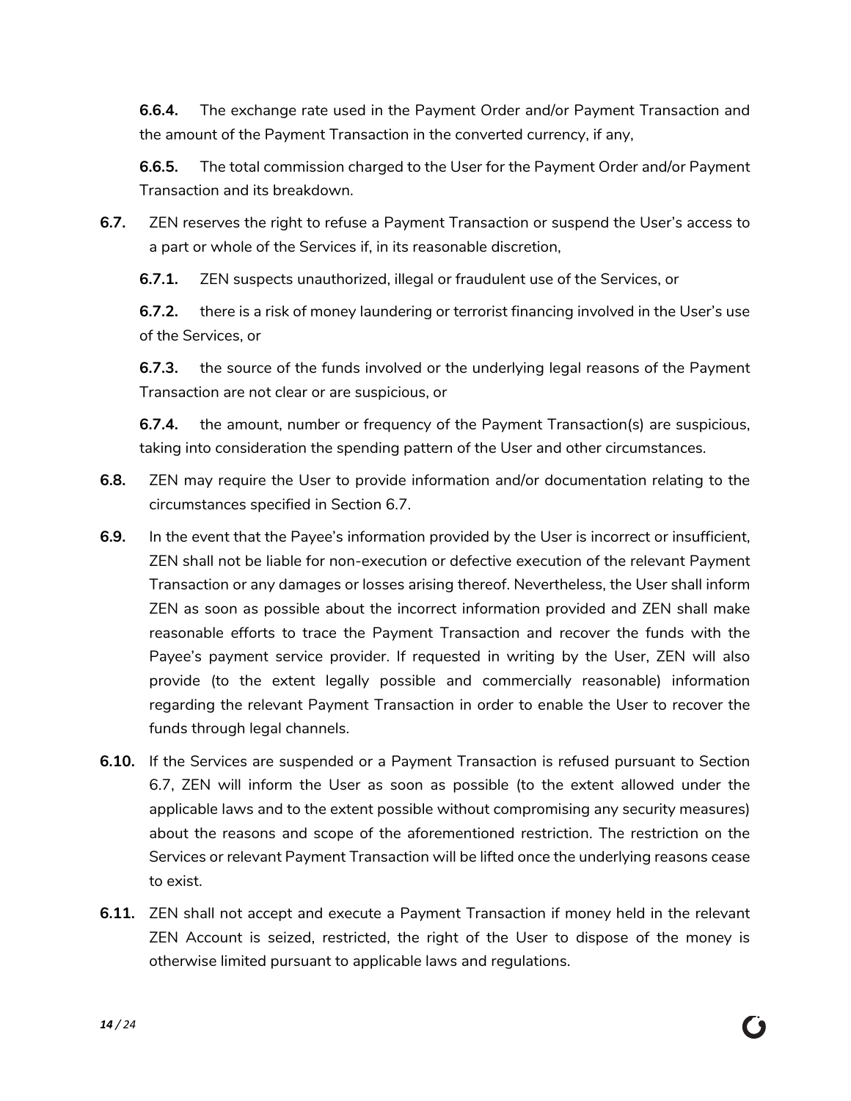**6.6.4.** The exchange rate used in the Payment Order and/or Payment Transaction and the amount of the Payment Transaction in the converted currency, if any,

**6.6.5.** The total commission charged to the User for the Payment Order and/or Payment Transaction and its breakdown.

<span id="page-13-0"></span>**6.7.** ZEN reserves the right to refuse a Payment Transaction or suspend the User's access to a part or whole of the Services if, in its reasonable discretion,

**6.7.1.** ZEN suspects unauthorized, illegal or fraudulent use of the Services, or

**6.7.2.** there is a risk of money laundering or terrorist financing involved in the User's use of the Services, or

**6.7.3.** the source of the funds involved or the underlying legal reasons of the Payment Transaction are not clear or are suspicious, or

**6.7.4.** the amount, number or frequency of the Payment Transaction(s) are suspicious, taking into consideration the spending pattern of the User and other circumstances.

- **6.8.** ZEN may require the User to provide information and/or documentation relating to the circumstances specified in Section [6.7.](#page-13-0)
- **6.9.** In the event that the Payee's information provided by the User is incorrect or insufficient, ZEN shall not be liable for non-execution or defective execution of the relevant Payment Transaction or any damages or losses arising thereof. Nevertheless, the User shall inform ZEN as soon as possible about the incorrect information provided and ZEN shall make reasonable efforts to trace the Payment Transaction and recover the funds with the Payee's payment service provider. If requested in writing by the User, ZEN will also provide (to the extent legally possible and commercially reasonable) information regarding the relevant Payment Transaction in order to enable the User to recover the funds through legal channels.
- **6.10.** If the Services are suspended or a Payment Transaction is refused pursuant to Section [6.7,](#page-13-0) ZEN will inform the User as soon as possible (to the extent allowed under the applicable laws and to the extent possible without compromising any security measures) about the reasons and scope of the aforementioned restriction. The restriction on the Services or relevant Payment Transaction will be lifted once the underlying reasons cease to exist.
- **6.11.** ZEN shall not accept and execute a Payment Transaction if money held in the relevant ZEN Account is seized, restricted, the right of the User to dispose of the money is otherwise limited pursuant to applicable laws and regulations.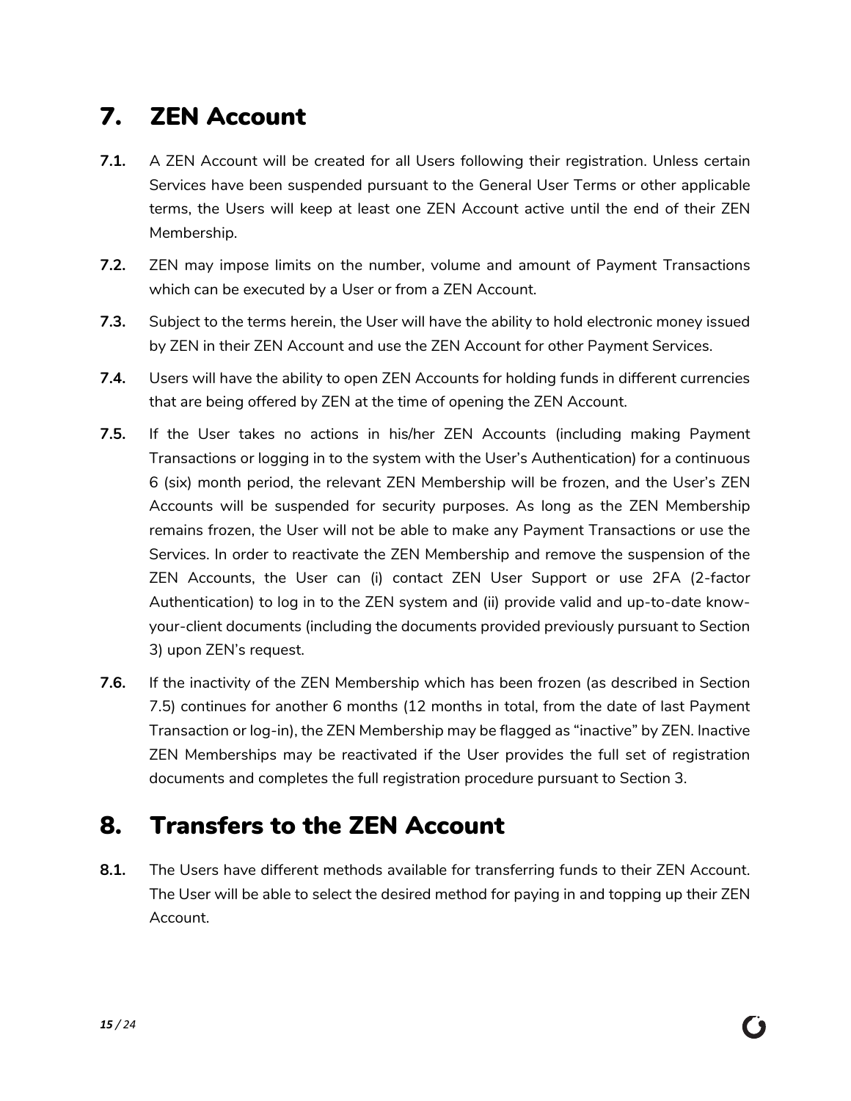## <span id="page-14-0"></span>7. ZEN Account

- **7.1.** A ZEN Account will be created for all Users following their registration. Unless certain Services have been suspended pursuant to the General User Terms or other applicable terms, the Users will keep at least one ZEN Account active until the end of their ZEN Membership.
- **7.2.** ZEN may impose limits on the number, volume and amount of Payment Transactions which can be executed by a User or from a ZEN Account.
- **7.3.** Subject to the terms herein, the User will have the ability to hold electronic money issued by ZEN in their ZEN Account and use the ZEN Account for other Payment Services.
- **7.4.** Users will have the ability to open ZEN Accounts for holding funds in different currencies that are being offered by ZEN at the time of opening the ZEN Account.
- <span id="page-14-2"></span>**7.5.** If the User takes no actions in his/her ZEN Accounts (including making Payment Transactions or logging in to the system with the User's Authentication) for a continuous 6 (six) month period, the relevant ZEN Membership will be frozen, and the User's ZEN Accounts will be suspended for security purposes. As long as the ZEN Membership remains frozen, the User will not be able to make any Payment Transactions or use the Services. In order to reactivate the ZEN Membership and remove the suspension of the ZEN Accounts, the User can (i) contact ZEN User Support or use 2FA (2-factor Authentication) to log in to the ZEN system and (ii) provide valid and up-to-date knowyour-client documents (including the documents provided previously pursuant to Section [3\)](#page-6-0) upon ZEN's request.
- <span id="page-14-3"></span>**7.6.** If the inactivity of the ZEN Membership which has been frozen (as described in Section [7.5\)](#page-14-2) continues for another 6 months (12 months in total, from the date of last Payment Transaction or log-in), the ZEN Membership may be flagged as "inactive" by ZEN. Inactive ZEN Memberships may be reactivated if the User provides the full set of registration documents and completes the full registration procedure pursuant to Section [3.](#page-6-0)

## <span id="page-14-1"></span>8. Transfers to the ZEN Account

**8.1.** The Users have different methods available for transferring funds to their ZEN Account. The User will be able to select the desired method for paying in and topping up their ZEN Account.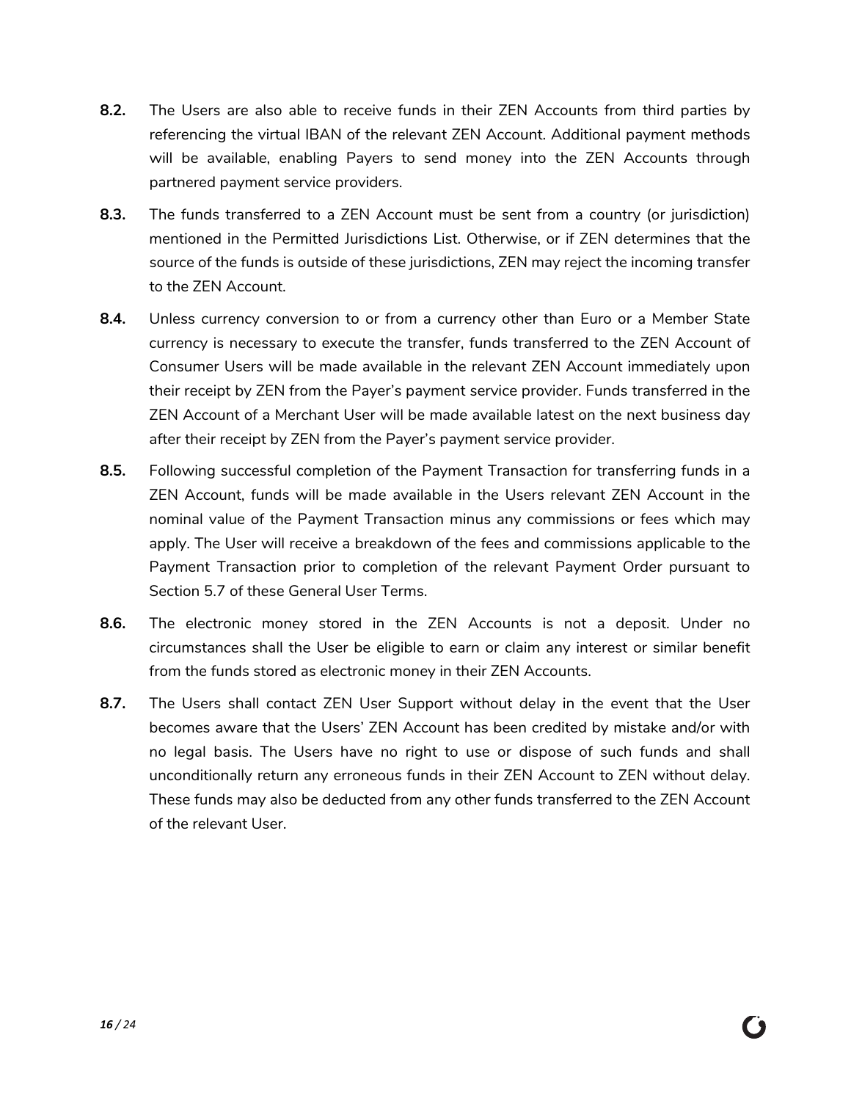- **8.2.** The Users are also able to receive funds in their ZEN Accounts from third parties by referencing the virtual IBAN of the relevant ZEN Account. Additional payment methods will be available, enabling Payers to send money into the ZEN Accounts through partnered payment service providers.
- **8.3.** The funds transferred to a ZEN Account must be sent from a country (or jurisdiction) mentioned in the Permitted Jurisdictions List. Otherwise, or if ZEN determines that the source of the funds is outside of these jurisdictions, ZEN may reject the incoming transfer to the ZEN Account.
- **8.4.** Unless currency conversion to or from a currency other than Euro or a Member State currency is necessary to execute the transfer, funds transferred to the ZEN Account of Consumer Users will be made available in the relevant ZEN Account immediately upon their receipt by ZEN from the Payer's payment service provider. Funds transferred in the ZEN Account of a Merchant User will be made available latest on the next business day after their receipt by ZEN from the Payer's payment service provider.
- **8.5.** Following successful completion of the Payment Transaction for transferring funds in a ZEN Account, funds will be made available in the Users relevant ZEN Account in the nominal value of the Payment Transaction minus any commissions or fees which may apply. The User will receive a breakdown of the fees and commissions applicable to the Payment Transaction prior to completion of the relevant Payment Order pursuant to Section [5.7](#page-11-1) of these General User Terms.
- **8.6.** The electronic money stored in the ZEN Accounts is not a deposit. Under no circumstances shall the User be eligible to earn or claim any interest or similar benefit from the funds stored as electronic money in their ZEN Accounts.
- **8.7.** The Users shall contact ZEN User Support without delay in the event that the User becomes aware that the Users' ZEN Account has been credited by mistake and/or with no legal basis. The Users have no right to use or dispose of such funds and shall unconditionally return any erroneous funds in their ZEN Account to ZEN without delay. These funds may also be deducted from any other funds transferred to the ZEN Account of the relevant User.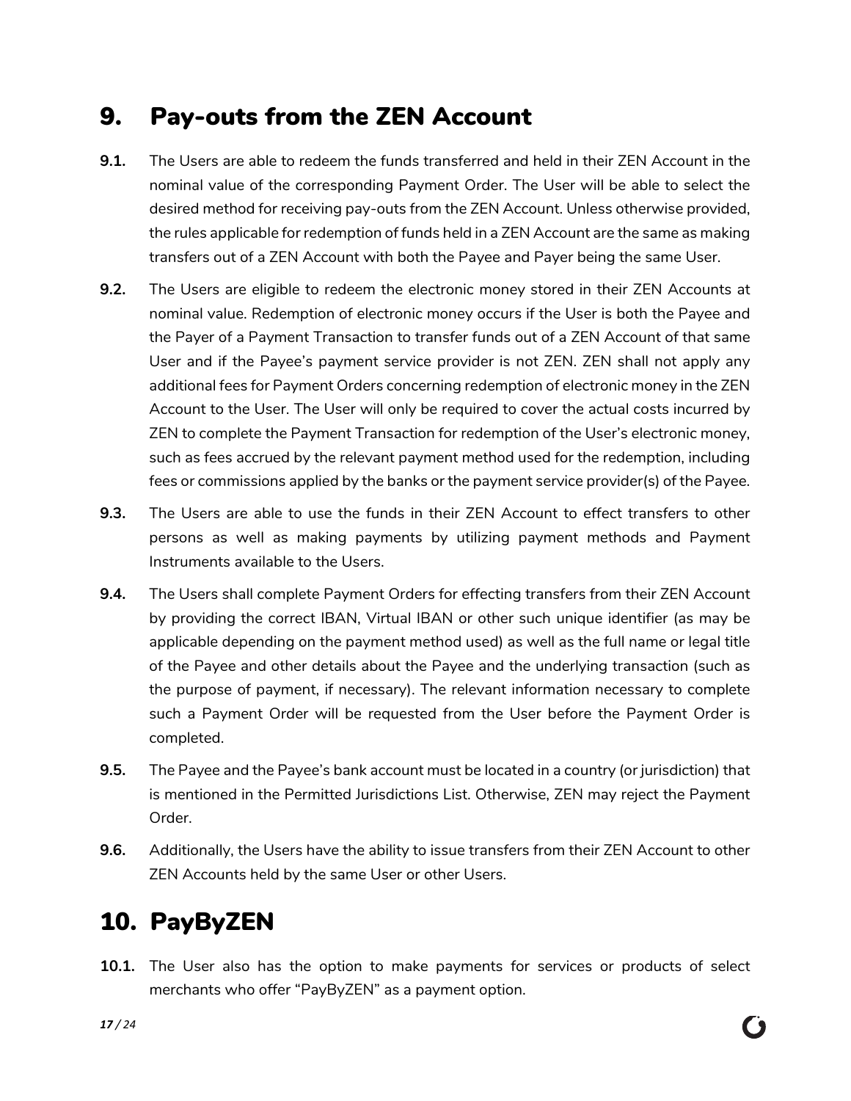#### <span id="page-16-0"></span>9. Pay-outs from the ZEN Account

- **9.1.** The Users are able to redeem the funds transferred and held in their ZEN Account in the nominal value of the corresponding Payment Order. The User will be able to select the desired method for receiving pay-outs from the ZEN Account. Unless otherwise provided, the rules applicable for redemption of funds held in a ZEN Account are the same as making transfers out of a ZEN Account with both the Payee and Payer being the same User.
- **9.2.** The Users are eligible to redeem the electronic money stored in their ZEN Accounts at nominal value. Redemption of electronic money occurs if the User is both the Payee and the Payer of a Payment Transaction to transfer funds out of a ZEN Account of that same User and if the Payee's payment service provider is not ZEN. ZEN shall not apply any additional fees for Payment Orders concerning redemption of electronic money in the ZEN Account to the User. The User will only be required to cover the actual costs incurred by ZEN to complete the Payment Transaction for redemption of the User's electronic money, such as fees accrued by the relevant payment method used for the redemption, including fees or commissions applied by the banks or the payment service provider(s) of the Payee.
- **9.3.** The Users are able to use the funds in their ZEN Account to effect transfers to other persons as well as making payments by utilizing payment methods and Payment Instruments available to the Users.
- **9.4.** The Users shall complete Payment Orders for effecting transfers from their ZEN Account by providing the correct IBAN, Virtual IBAN or other such unique identifier (as may be applicable depending on the payment method used) as well as the full name or legal title of the Payee and other details about the Payee and the underlying transaction (such as the purpose of payment, if necessary). The relevant information necessary to complete such a Payment Order will be requested from the User before the Payment Order is completed.
- **9.5.** The Payee and the Payee's bank account must be located in a country (or jurisdiction) that is mentioned in the Permitted Jurisdictions List. Otherwise, ZEN may reject the Payment Order.
- **9.6.** Additionally, the Users have the ability to issue transfers from their ZEN Account to other ZEN Accounts held by the same User or other Users.

# <span id="page-16-1"></span>10. PayByZEN

**10.1.** The User also has the option to make payments for services or products of select merchants who offer "PayByZEN" as a payment option.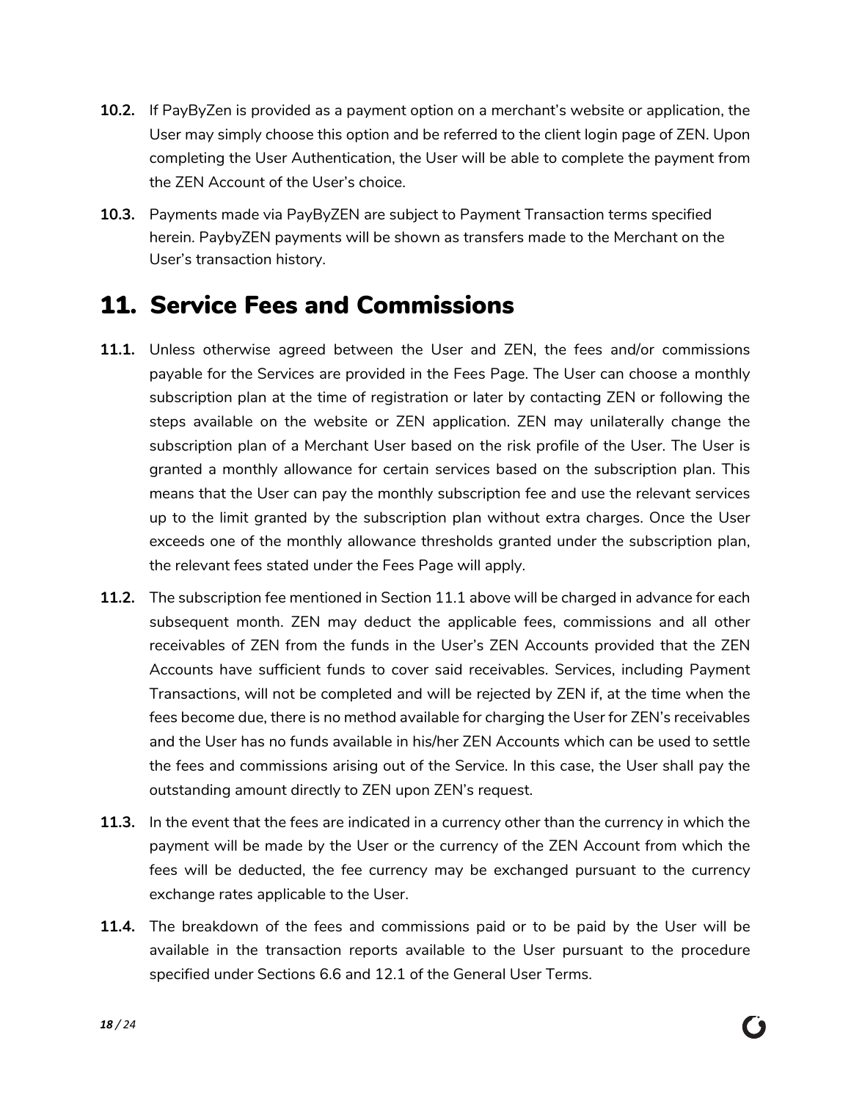- **10.2.** If PayByZen is provided as a payment option on a merchant's website or application, the User may simply choose this option and be referred to the client login page of ZEN. Upon completing the User Authentication, the User will be able to complete the payment from the ZEN Account of the User's choice.
- **10.3.** Payments made via PayByZEN are subject to Payment Transaction terms specified herein. PaybyZEN payments will be shown as transfers made to the Merchant on the User's transaction history.

#### <span id="page-17-0"></span>11. Service Fees and Commissions

- <span id="page-17-1"></span>**11.1.** Unless otherwise agreed between the User and ZEN, the fees and/or commissions payable for the Services are provided in the Fees Page. The User can choose a monthly subscription plan at the time of registration or later by contacting ZEN or following the steps available on the website or ZEN application. ZEN may unilaterally change the subscription plan of a Merchant User based on the risk profile of the User. The User is granted a monthly allowance for certain services based on the subscription plan. This means that the User can pay the monthly subscription fee and use the relevant services up to the limit granted by the subscription plan without extra charges. Once the User exceeds one of the monthly allowance thresholds granted under the subscription plan, the relevant fees stated under the Fees Page will apply.
- **11.2.** The subscription fee mentioned in Section [11.1](#page-17-1) above will be charged in advance for each subsequent month. ZEN may deduct the applicable fees, commissions and all other receivables of ZEN from the funds in the User's ZEN Accounts provided that the ZEN Accounts have sufficient funds to cover said receivables. Services, including Payment Transactions, will not be completed and will be rejected by ZEN if, at the time when the fees become due, there is no method available for charging the User for ZEN's receivables and the User has no funds available in his/her ZEN Accounts which can be used to settle the fees and commissions arising out of the Service. In this case, the User shall pay the outstanding amount directly to ZEN upon ZEN's request.
- **11.3.** In the event that the fees are indicated in a currency other than the currency in which the payment will be made by the User or the currency of the ZEN Account from which the fees will be deducted, the fee currency may be exchanged pursuant to the currency exchange rates applicable to the User.
- **11.4.** The breakdown of the fees and commissions paid or to be paid by the User will be available in the transaction reports available to the User pursuant to the procedure specified under Sections [6.6](#page-12-1) and 12.1 of the General User Terms.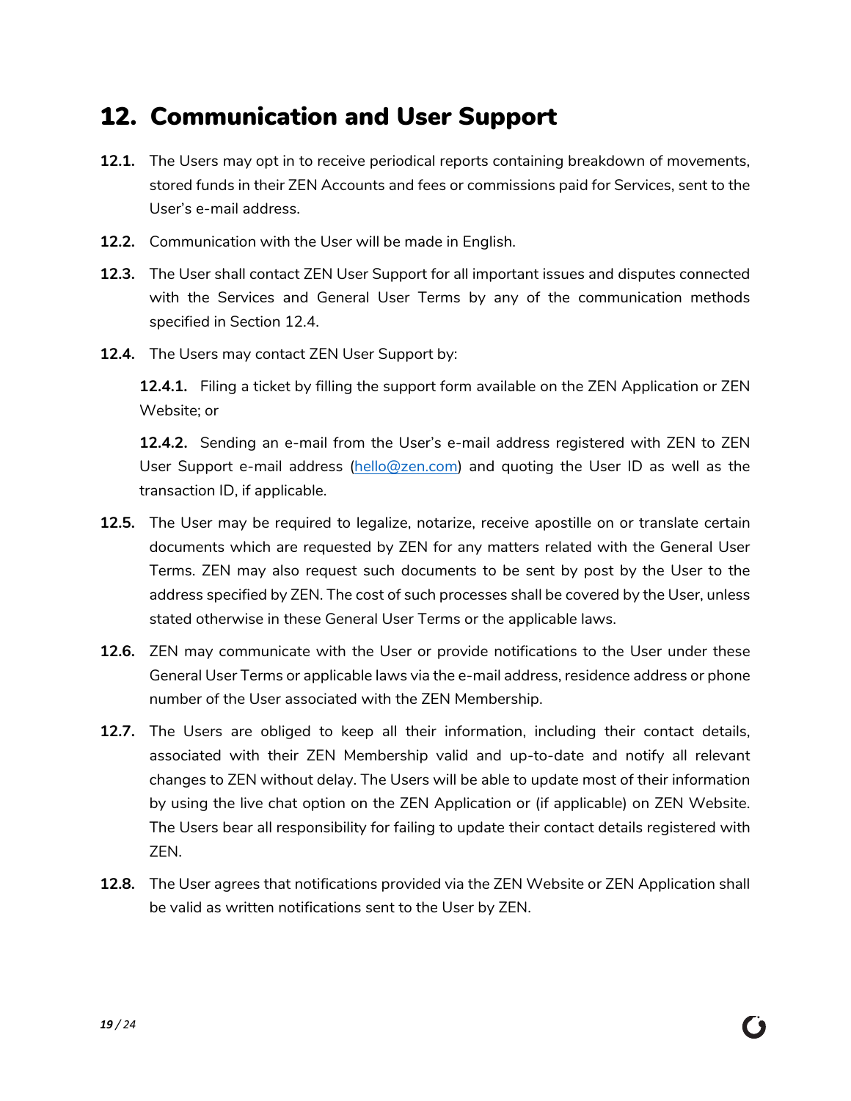#### <span id="page-18-0"></span>12. Communication and User Support

- **12.1.** The Users may opt in to receive periodical reports containing breakdown of movements, stored funds in their ZEN Accounts and fees or commissions paid for Services, sent to the User's e-mail address.
- **12.2.** Communication with the User will be made in English.
- **12.3.** The User shall contact ZEN User Support for all important issues and disputes connected with the Services and General User Terms by any of the communication methods specified in Section 12.4.
- **12.4.** The Users may contact ZEN User Support by:

**12.4.1.** Filing a ticket by filling the support form available on the ZEN Application or ZEN Website; or

**12.4.2.** Sending an e-mail from the User's e-mail address registered with ZEN to ZEN User Support e-mail address [\(hello@zen.com\)](mailto:hello@zen.com) and quoting the User ID as well as the transaction ID, if applicable.

- **12.5.** The User may be required to legalize, notarize, receive apostille on or translate certain documents which are requested by ZEN for any matters related with the General User Terms. ZEN may also request such documents to be sent by post by the User to the address specified by ZEN. The cost of such processes shall be covered by the User, unless stated otherwise in these General User Terms or the applicable laws.
- **12.6.** ZEN may communicate with the User or provide notifications to the User under these General User Terms or applicable laws via the e-mail address, residence address or phone number of the User associated with the ZEN Membership.
- **12.7.** The Users are obliged to keep all their information, including their contact details, associated with their ZEN Membership valid and up-to-date and notify all relevant changes to ZEN without delay. The Users will be able to update most of their information by using the live chat option on the ZEN Application or (if applicable) on ZEN Website. The Users bear all responsibility for failing to update their contact details registered with ZEN.
- <span id="page-18-1"></span>**12.8.** The User agrees that notifications provided via the ZEN Website or ZEN Application shall be valid as written notifications sent to the User by ZEN.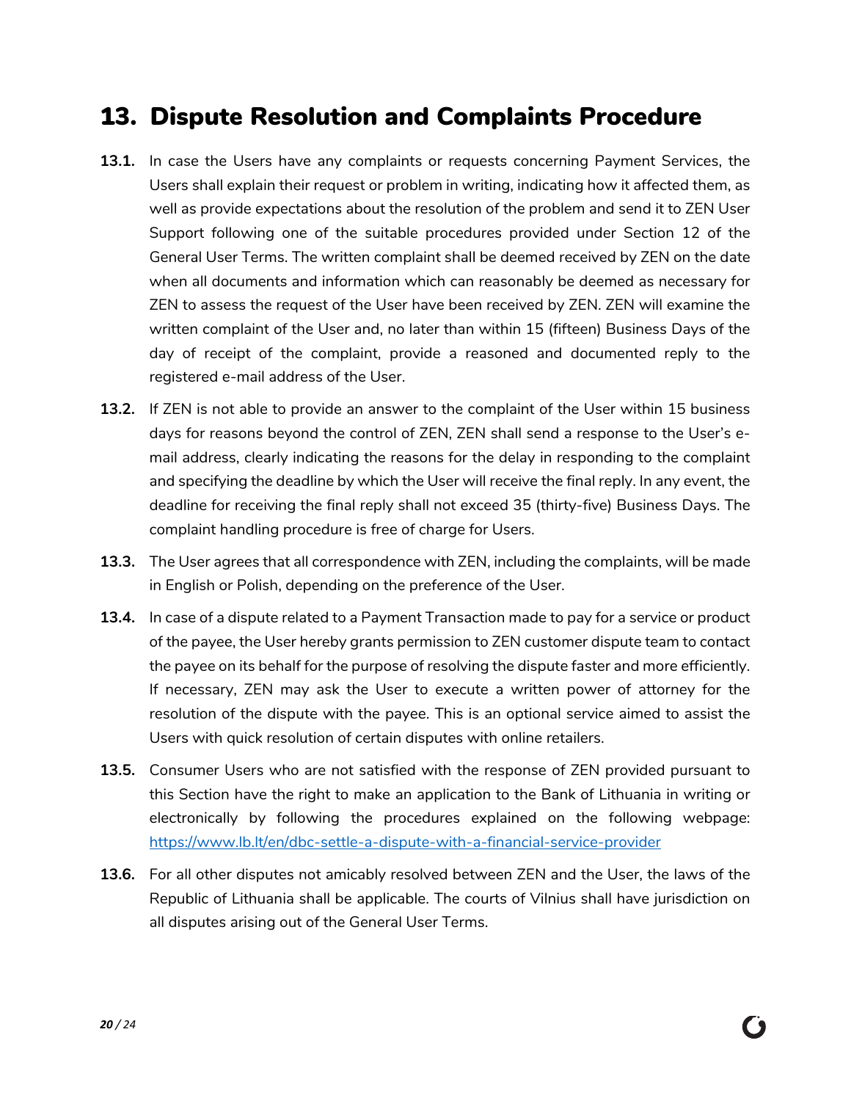#### 13. Dispute Resolution and Complaints Procedure

- **13.1.** In case the Users have any complaints or requests concerning Payment Services, the Users shall explain their request or problem in writing, indicating how it affected them, as well as provide expectations about the resolution of the problem and send it to ZEN User Support following one of the suitable procedures provided under Section 12 of the General User Terms. The written complaint shall be deemed received by ZEN on the date when all documents and information which can reasonably be deemed as necessary for ZEN to assess the request of the User have been received by ZEN. ZEN will examine the written complaint of the User and, no later than within 15 (fifteen) Business Days of the day of receipt of the complaint, provide a reasoned and documented reply to the registered e-mail address of the User.
- **13.2.** If ZEN is not able to provide an answer to the complaint of the User within 15 business days for reasons beyond the control of ZEN, ZEN shall send a response to the User's email address, clearly indicating the reasons for the delay in responding to the complaint and specifying the deadline by which the User will receive the final reply. In any event, the deadline for receiving the final reply shall not exceed 35 (thirty-five) Business Days. The complaint handling procedure is free of charge for Users.
- **13.3.** The User agrees that all correspondence with ZEN, including the complaints, will be made in English or Polish, depending on the preference of the User.
- **13.4.** In case of a dispute related to a Payment Transaction made to pay for a service or product of the payee, the User hereby grants permission to ZEN customer dispute team to contact the payee on its behalf for the purpose of resolving the dispute faster and more efficiently. If necessary, ZEN may ask the User to execute a written power of attorney for the resolution of the dispute with the payee. This is an optional service aimed to assist the Users with quick resolution of certain disputes with online retailers.
- **13.5.** Consumer Users who are not satisfied with the response of ZEN provided pursuant to this Section have the right to make an application to the Bank of Lithuania in writing or electronically by following the procedures explained on the following webpage: <https://www.lb.lt/en/dbc-settle-a-dispute-with-a-financial-service-provider>
- **13.6.** For all other disputes not amicably resolved between ZEN and the User, the laws of the Republic of Lithuania shall be applicable. The courts of Vilnius shall have jurisdiction on all disputes arising out of the General User Terms.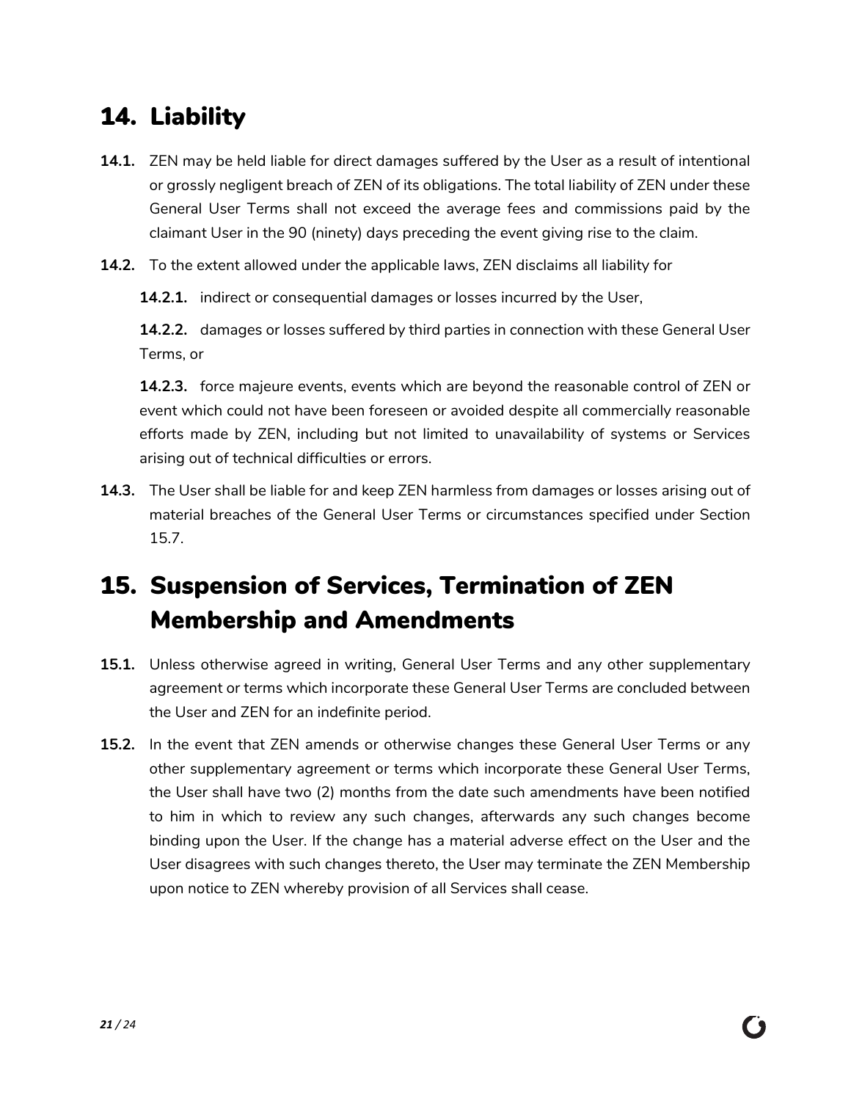## <span id="page-20-0"></span>14. Liability

- **14.1.** ZEN may be held liable for direct damages suffered by the User as a result of intentional or grossly negligent breach of ZEN of its obligations. The total liability of ZEN under these General User Terms shall not exceed the average fees and commissions paid by the claimant User in the 90 (ninety) days preceding the event giving rise to the claim.
- **14.2.** To the extent allowed under the applicable laws, ZEN disclaims all liability for

**14.2.1.** indirect or consequential damages or losses incurred by the User,

**14.2.2.** damages or losses suffered by third parties in connection with these General User Terms, or

**14.2.3.** force majeure events, events which are beyond the reasonable control of ZEN or event which could not have been foreseen or avoided despite all commercially reasonable efforts made by ZEN, including but not limited to unavailability of systems or Services arising out of technical difficulties or errors.

**14.3.** The User shall be liable for and keep ZEN harmless from damages or losses arising out of material breaches of the General User Terms or circumstances specified under Section 15.7.

## <span id="page-20-1"></span>15. Suspension of Services, Termination of ZEN Membership and Amendments

- **15.1.** Unless otherwise agreed in writing, General User Terms and any other supplementary agreement or terms which incorporate these General User Terms are concluded between the User and ZEN for an indefinite period.
- **15.2.** In the event that ZEN amends or otherwise changes these General User Terms or any other supplementary agreement or terms which incorporate these General User Terms, the User shall have two (2) months from the date such amendments have been notified to him in which to review any such changes, afterwards any such changes become binding upon the User. If the change has a material adverse effect on the User and the User disagrees with such changes thereto, the User may terminate the ZEN Membership upon notice to ZEN whereby provision of all Services shall cease.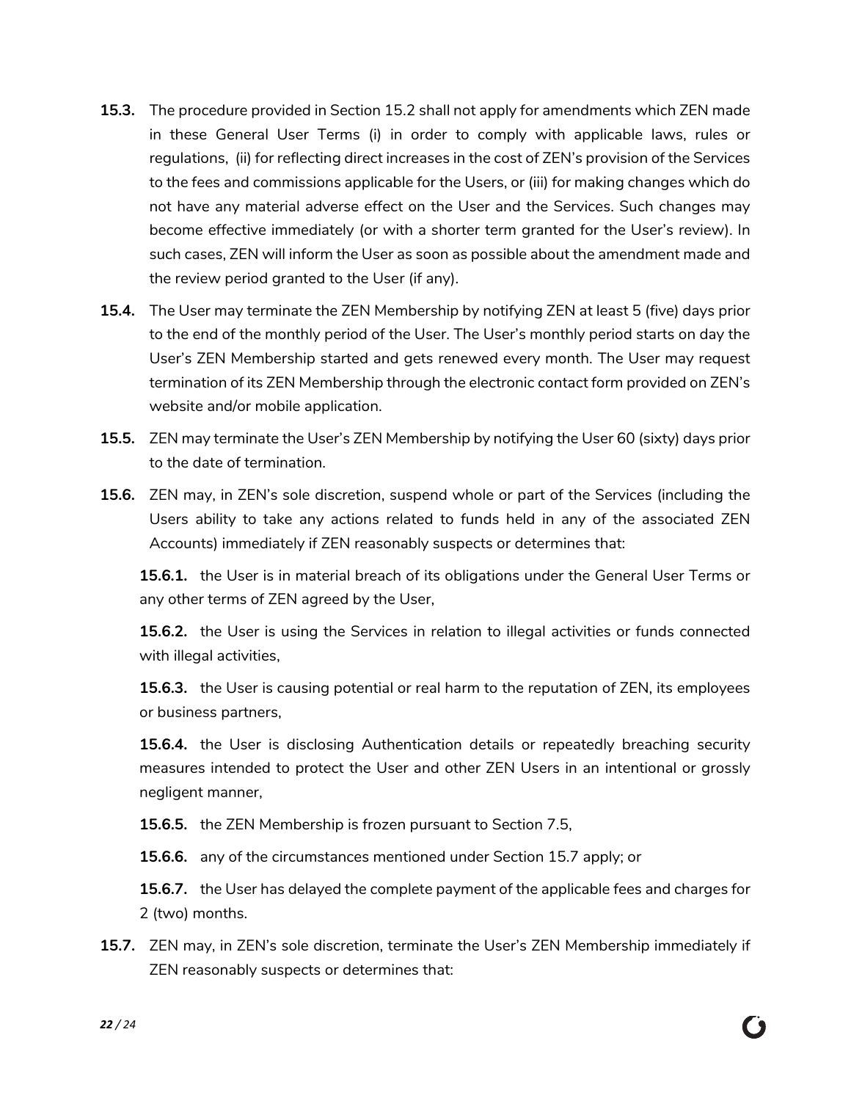- **15.3.** The procedure provided in Section 15.2 shall not apply for amendments which ZEN made in these General User Terms (i) in order to comply with applicable laws, rules or regulations, (ii) for reflecting direct increases in the cost of ZEN's provision of the Services to the fees and commissions applicable for the Users, or (iii) for making changes which do not have any material adverse effect on the User and the Services. Such changes may become effective immediately (or with a shorter term granted for the User's review). In such cases, ZEN will inform the User as soon as possible about the amendment made and the review period granted to the User (if any).
- **15.4.** The User may terminate the ZEN Membership by notifying ZEN at least 5 (five) days prior to the end of the monthly period of the User. The User's monthly period starts on day the User's ZEN Membership started and gets renewed every month. The User may request termination of its ZEN Membership through the electronic contact form provided on ZEN's website and/or mobile application.
- **15.5.** ZEN may terminate the User's ZEN Membership by notifying the User 60 (sixty) days prior to the date of termination.
- **15.6.** ZEN may, in ZEN's sole discretion, suspend whole or part of the Services (including the Users ability to take any actions related to funds held in any of the associated ZEN Accounts) immediately if ZEN reasonably suspects or determines that:

**15.6.1.** the User is in material breach of its obligations under the General User Terms or any other terms of ZEN agreed by the User,

**15.6.2.** the User is using the Services in relation to illegal activities or funds connected with illegal activities,

**15.6.3.** the User is causing potential or real harm to the reputation of ZEN, its employees or business partners,

**15.6.4.** the User is disclosing Authentication details or repeatedly breaching security measures intended to protect the User and other ZEN Users in an intentional or grossly negligent manner,

**15.6.5.** the ZEN Membership is frozen pursuant to Section [7.5,](#page-14-2)

**15.6.6.** any of the circumstances mentioned under Section 15.7 apply; or

**15.6.7.** the User has delayed the complete payment of the applicable fees and charges for 2 (two) months.

**15.7.** ZEN may, in ZEN's sole discretion, terminate the User's ZEN Membership immediately if ZEN reasonably suspects or determines that: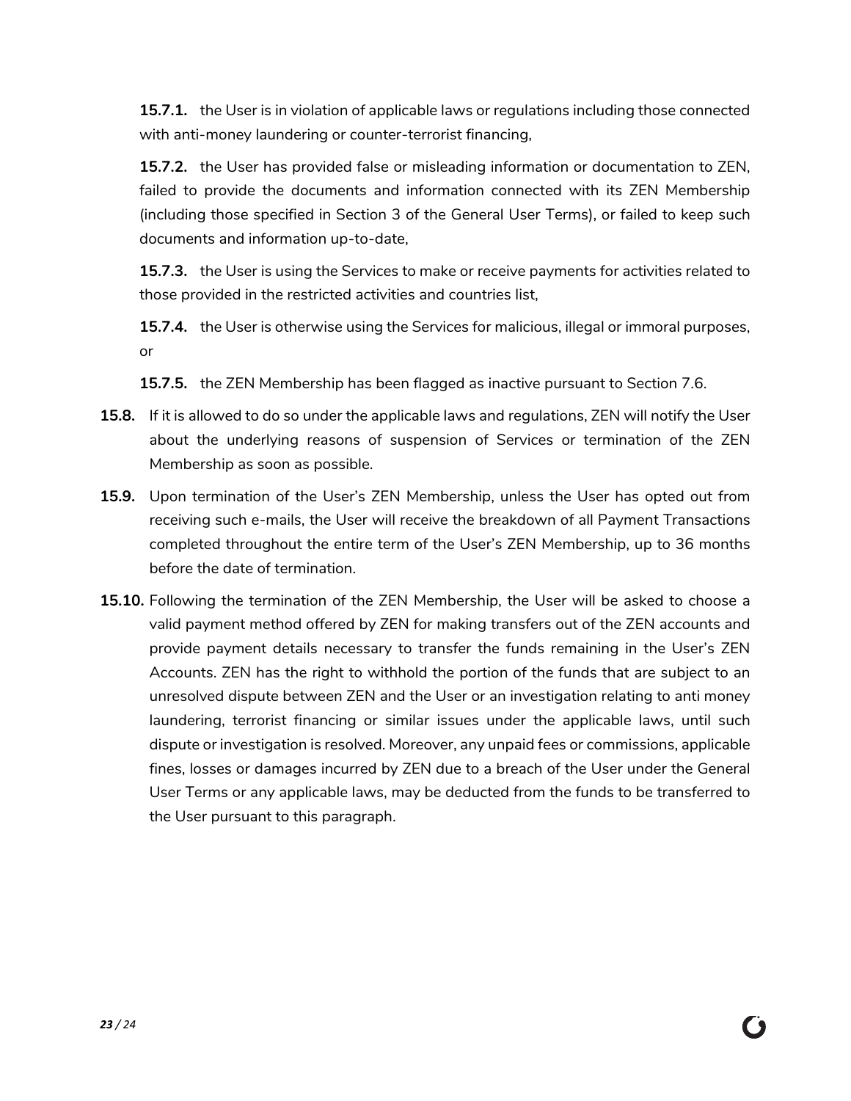**15.7.1.** the User is in violation of applicable laws or regulations including those connected with anti-money laundering or counter-terrorist financing,

**15.7.2.** the User has provided false or misleading information or documentation to ZEN, failed to provide the documents and information connected with its ZEN Membership (including those specified in Section 3 of the General User Terms), or failed to keep such documents and information up-to-date,

**15.7.3.** the User is using the Services to make or receive payments for activities related to those provided in the restricted activities and countries list,

**15.7.4.** the User is otherwise using the Services for malicious, illegal or immoral purposes, or

**15.7.5.** the ZEN Membership has been flagged as inactive pursuant to Section [7.6.](#page-14-3)

- **15.8.** If it is allowed to do so under the applicable laws and regulations, ZEN will notify the User about the underlying reasons of suspension of Services or termination of the ZEN Membership as soon as possible.
- **15.9.** Upon termination of the User's ZEN Membership, unless the User has opted out from receiving such e-mails, the User will receive the breakdown of all Payment Transactions completed throughout the entire term of the User's ZEN Membership, up to 36 months before the date of termination.
- **15.10.** Following the termination of the ZEN Membership, the User will be asked to choose a valid payment method offered by ZEN for making transfers out of the ZEN accounts and provide payment details necessary to transfer the funds remaining in the User's ZEN Accounts. ZEN has the right to withhold the portion of the funds that are subject to an unresolved dispute between ZEN and the User or an investigation relating to anti money laundering, terrorist financing or similar issues under the applicable laws, until such dispute or investigation is resolved. Moreover, any unpaid fees or commissions, applicable fines, losses or damages incurred by ZEN due to a breach of the User under the General User Terms or any applicable laws, may be deducted from the funds to be transferred to the User pursuant to this paragraph.